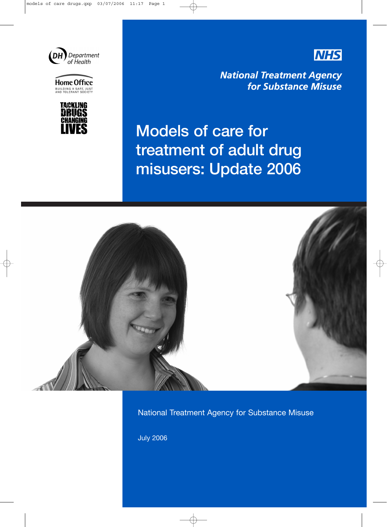

Home Office



**NHS** 

**National Treatment Agency** for Substance Misuse

# Models of care for treatment of adult drug misusers: Update 2006



National Treatment Agency for Substance Misuse

July 2006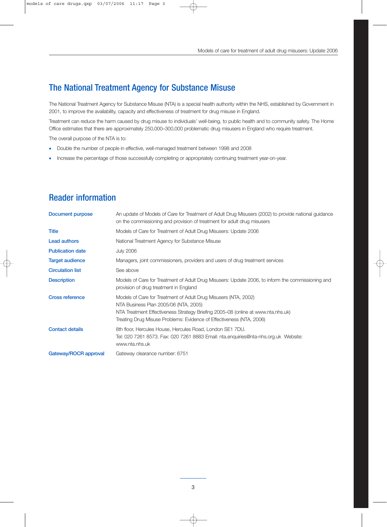## The National Treatment Agency for Substance Misuse

The National Treatment Agency for Substance Misuse (NTA) is a special health authority within the NHS, established by Government in 2001, to improve the availability, capacity and effectiveness of treatment for drug misuse in England.

Treatment can reduce the harm caused by drug misuse to individuals' well-being, to public health and to community safety. The Home Office estimates that there are approximately 250,000–300,000 problematic drug misusers in England who require treatment.

The overall purpose of the NTA is to:

- Double the number of people in effective, well-managed treatment between 1998 and 2008
- Increase the percentage of those successfully completing or appropriately continuing treatment year-on-year.

| Document purpose        | An update of Models of Care for Treatment of Adult Drug Misusers (2002) to provide national guidance<br>on the commissioning and provision of treatment for adult drug misusers                                                                                      |
|-------------------------|----------------------------------------------------------------------------------------------------------------------------------------------------------------------------------------------------------------------------------------------------------------------|
| <b>Title</b>            | Models of Care for Treatment of Adult Drug Misusers: Update 2006                                                                                                                                                                                                     |
| <b>Lead authors</b>     | National Treatment Agency for Substance Misuse                                                                                                                                                                                                                       |
| <b>Publication date</b> | <b>July 2006</b>                                                                                                                                                                                                                                                     |
| <b>Target audience</b>  | Managers, joint commissioners, providers and users of drug treatment services                                                                                                                                                                                        |
| <b>Circulation list</b> | See above                                                                                                                                                                                                                                                            |
| <b>Description</b>      | Models of Care for Treatment of Adult Drug Misusers: Update 2006, to inform the commissioning and<br>provision of drug treatment in England                                                                                                                          |
| <b>Cross reference</b>  | Models of Care for Treatment of Adult Drug Misusers (NTA, 2002)<br>NTA Business Plan 2005/06 (NTA, 2005)<br>NTA Treatment Effectiveness Strategy Briefing 2005–08 (online at www.nta.nhs.uk)<br>Treating Drug Misuse Problems: Evidence of Effectiveness (NTA, 2006) |
| <b>Contact details</b>  | 8th floor, Hercules House, Hercules Road, London SE1 7DU.<br>Tel: 020 7261 8573. Fax: 020 7261 8883 Email: nta.enquiries@nta-nhs.org.uk Website:<br>www.nta.nhs.uk                                                                                                   |
| Gateway/ROCR approval   | Gateway clearance number: 6751                                                                                                                                                                                                                                       |

## Reader information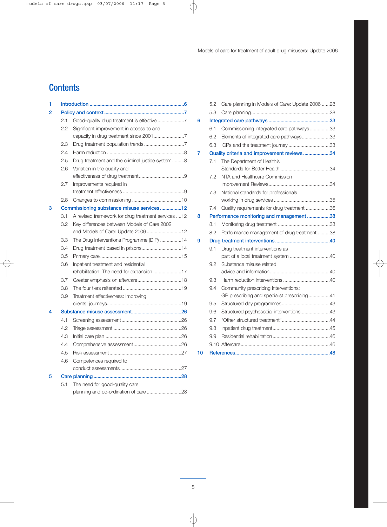## **Contents**

| 1              |     |                                                    |
|----------------|-----|----------------------------------------------------|
| $\overline{2}$ |     |                                                    |
|                | 2.1 | Good-quality drug treatment is effective 7         |
|                | 2.2 | Significant improvement in access to and           |
|                |     |                                                    |
|                | 2.3 |                                                    |
|                | 2.4 |                                                    |
|                | 2.5 | Drug treatment and the criminal justice system 8   |
|                | 2.6 | Variation in the quality and                       |
|                |     |                                                    |
|                | 2.7 | Improvements required in                           |
|                |     |                                                    |
|                | 2.8 |                                                    |
| 3              |     | Commissioning substance misuse services12          |
|                | 3.1 | A revised framework for drug treatment services 12 |
|                | 3.2 | Key differences between Models of Care 2002        |
|                |     | and Models of Care: Update 2006 12                 |
|                | 3.3 | The Drug Interventions Programme (DIP) 14          |
|                | 3.4 | Drug treatment based in prisons14                  |
|                | 3.5 |                                                    |
|                | 3.6 | Inpatient treatment and residential                |
|                |     | rehabilitation: The need for expansion 17          |
|                | 3.7 |                                                    |
|                | 3.8 |                                                    |
|                | 3.9 | Treatment effectiveness: Improving                 |
|                |     |                                                    |
| 4              |     |                                                    |
|                | 4.1 |                                                    |
|                | 4.2 |                                                    |
|                | 4.3 |                                                    |
|                | 4.4 |                                                    |
|                | 4.5 |                                                    |
|                | 4.6 | Competences required to                            |
|                |     |                                                    |
| 5              |     |                                                    |
|                | 5.1 | The need for good-quality care                     |
|                |     | planning and co-ordination of care 28              |

|    | 5.2 | Care planning in Models of Care: Update 2006 28 |  |
|----|-----|-------------------------------------------------|--|
|    | 5.3 |                                                 |  |
| 6  |     |                                                 |  |
|    | 6.1 | Commissioning integrated care pathways33        |  |
|    | 6.2 | Elements of integrated care pathways33          |  |
|    | 6.3 | ICPs and the treatment journey 33               |  |
| 7  |     | Quality criteria and improvement reviews34      |  |
|    | 7.1 | The Department of Health's                      |  |
|    |     |                                                 |  |
|    | 7.2 | NTA and Healthcare Commission                   |  |
|    |     |                                                 |  |
|    | 7.3 | National standards for professionals            |  |
|    |     |                                                 |  |
|    | 7.4 | Quality requirements for drug treatment 36      |  |
| 8  |     | Performance monitoring and management 38        |  |
|    | 8.1 |                                                 |  |
|    | 8.2 | Performance management of drug treatment38      |  |
| 9  |     |                                                 |  |
|    | 9.1 | Drug treatment interventions as                 |  |
|    |     | part of a local treatment system 40             |  |
|    | 9.2 | Substance misuse related                        |  |
|    |     |                                                 |  |
|    | 9.3 |                                                 |  |
|    | 9.4 | Community prescribing interventions:            |  |
|    |     | GP prescribing and specialist prescribing41     |  |
|    | 9.5 |                                                 |  |
|    | 9.6 | Structured psychosocial interventions43         |  |
|    | 9.7 |                                                 |  |
|    | 9.8 |                                                 |  |
|    | 9.9 |                                                 |  |
|    |     |                                                 |  |
| 10 |     |                                                 |  |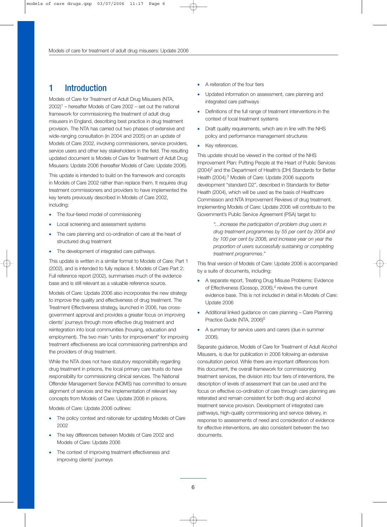## 1 Introduction

Models of Care for Treatment of Adult Drug Misusers (NTA,  $2002$ <sup>1</sup> – hereafter Models of Care  $2002$  – set out the national framework for commissioning the treatment of adult drug misusers in England, describing best practice in drug treatment provision. The NTA has carried out two phases of extensive and wide-ranging consultation (in 2004 and 2005) on an update of Models of Care 2002, involving commissioners, service providers, service users and other key stakeholders in the field. The resulting updated document is Models of Care for Treatment of Adult Drug Misusers: Update 2006 (hereafter Models of Care: Update 2006).

This update is intended to build on the framework and concepts in Models of Care 2002 rather than replace them. It requires drug treatment commissioners and providers to have implemented the key tenets previously described in Models of Care 2002, including:

- The four-tiered model of commissioning
- Local screening and assessment systems
- The care planning and co-ordination of care at the heart of structured drug treatment
- The development of integrated care pathways.

This update is written in a similar format to Models of Care: Part 1 (2002), and is intended to fully replace it. Models of Care Part 2: Full reference report (2002), summarises much of the evidence base and is still relevant as a valuable reference source.

Models of Care: Update 2006 also incorporates the new strategy to improve the quality and effectiveness of drug treatment. The Treatment Effectiveness strategy, launched in 2006, has crossgovernment approval and provides a greater focus on improving clients' journeys through more effective drug treatment and reintegration into local communities (housing, education and employment). The two main "units for improvement" for improving treatment effectiveness are local commissioning partnerships and the providers of drug treatment.

While the NTA does not have statutory responsibility regarding drug treatment in prisons, the local primary care trusts do have responsibility for commissioning clinical services. The National Offender Management Service (NOMS) has committed to ensure alignment of services and the implementation of relevant key concepts from Models of Care: Update 2006 in prisons.

Models of Care: Update 2006 outlines:

- The policy context and rationale for updating Models of Care 2002
- The key differences between Models of Care 2002 and Models of Care: Update 2006
- The context of improving treatment effectiveness and improving clients' journeys
- A reiteration of the four tiers
- Updated information on assessment, care planning and integrated care pathways
- Definitions of the full range of treatment interventions in the context of local treatment systems
- Draft quality requirements, which are in line with the NHS policy and performance management structures
- Key references.

This update should be viewed in the context of the NHS Improvement Plan: Putting People at the Heart of Public Services (2004)<sup>2</sup> and the Department of Health's (DH) Standards for Better Health (2004).3 Models of Care: Update 2006 supports development "standard D2", described in Standards for Better Health (2004), which will be used as the basis of Healthcare Commission and NTA Improvement Reviews of drug treatment. Implementing Models of Care: Update 2006 will contribute to the Government's Public Service Agreement (PSA) target to:

> *"…increase the participation of problem drug users in drug treatment programmes by 55 per cent by 2004 and by 100 per cent by 2008, and increase year on year the proportion of users successfully sustaining or completing treatment programmes*.*"*

This final version of Models of Care: Update 2006 is accompanied by a suite of documents, including:

- A separate report, Treating Drug Misuse Problems: Evidence of Effectiveness (Gossop, 2006),<sup>4</sup> reviews the current evidence base. This is not included in detail in Models of Care: Update 2006
- Additional linked guidance on care planning Care Planning Practice Guide (NTA, 2006)<sup>5</sup>
- A summary for service users and carers (due in summer 2006).

Separate guidance, Models of Care for Treatment of Adult Alcohol Misusers*,* is due for publication in 2006 following an extensive consultation period. While there are important differences from this document, the overall framework for commissioning treatment services, the division into four tiers of interventions, the description of levels of assessment that can be used and the focus on effective co-ordination of care through care planning are reiterated and remain consistent for both drug and alcohol treatment service provision. Development of integrated care pathways, high-quality commissioning and service delivery, in response to assessments of need and consideration of evidence for effective interventions, are also consistent between the two documents.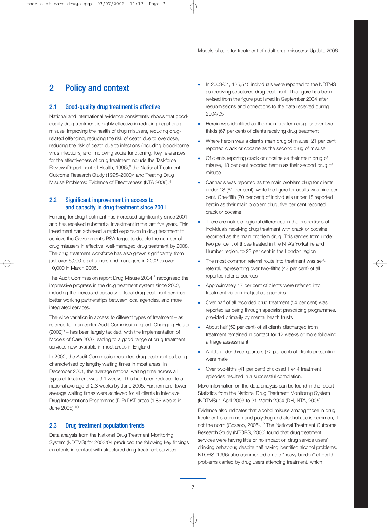## 2 Policy and context

## 2.1 Good-quality drug treatment is effective

National and international evidence consistently shows that goodquality drug treatment is highly effective in reducing illegal drug misuse, improving the health of drug misusers, reducing drugrelated offending, reducing the risk of death due to overdose, reducing the risk of death due to infections (including blood-borne virus infections) and improving social functioning. Key references for the effectiveness of drug treatment include the Taskforce Review (Department of Health, 1996),<sup>6</sup> the National Treatment Outcome Research Study (1995–2000)7 and Treating Drug Misuse Problems: Evidence of Effectiveness (NTA 2006).4

## 2.2 Significant improvement in access to and capacity in drug treatment since 2001

Funding for drug treatment has increased significantly since 2001 and has received substantial investment in the last five years. This investment has achieved a rapid expansion in drug treatment to achieve the Government's PSA target to double the number of drug misusers in effective, well-managed drug treatment by 2008. The drug treatment workforce has also grown significantly, from just over 6,000 practitioners and managers in 2002 to over 10,000 in March 2005.

The Audit Commission report Drug Misuse 2004,<sup>8</sup> recognised the impressive progress in the drug treatment system since 2002, including the increased capacity of local drug treatment services, better working partnerships between local agencies, and more integrated services.

The wide variation in access to different types of treatment – as referred to in an earlier Audit Commission report, Changing Habits  $(2002)^9$  – has been largely tackled, with the implementation of Models of Care 2002 leading to a good range of drug treatment services now available in most areas in England.

In 2002, the Audit Commission reported drug treatment as being characterised by lengthy waiting times in most areas. In December 2001, the average national waiting time across all types of treatment was 9.1 weeks. This had been reduced to a national average of 2.3 weeks by June 2005. Furthermore, lower average waiting times were achieved for all clients in intensive Drug Interventions Programme (DIP) DAT areas (1.85 weeks in June 2005).10

## 2.3 Drug treatment population trends

Data analysis from the National Drug Treatment Monitoring System (NDTMS) for 2003/04 produced the following key findings on clients in contact with structured drug treatment services.

- In 2003/04, 125,545 individuals were reported to the NDTMS as receiving structured drug treatment. This figure has been revised from the figure published in September 2004 after resubmissions and corrections to the data received during 2004/05
- Heroin was identified as the main problem drug for over twothirds (67 per cent) of clients receiving drug treatment
- Where heroin was a client's main drug of misuse, 21 per cent reported crack or cocaine as the second drug of misuse
- Of clients reporting crack or cocaine as their main drug of misuse, 13 per cent reported heroin as their second drug of misuse
- Cannabis was reported as the main problem drug for clients under 18 (61 per cent), while the figure for adults was nine per cent. One-fifth (20 per cent) of individuals under 18 reported heroin as their main problem drug, five per cent reported crack or cocaine
- There are notable regional differences in the proportions of individuals receiving drug treatment with crack or cocaine recorded as the main problem drug. This ranges from under two per cent of those treated in the NTA's Yorkshire and Humber region, to 23 per cent in the London region
- The most common referral route into treatment was selfreferral, representing over two-fifths (43 per cent) of all reported referral sources
- Approximately 17 per cent of clients were referred into treatment via criminal justice agencies
- Over half of all recorded drug treatment (54 per cent) was reported as being through specialist prescribing programmes, provided primarily by mental health trusts
- About half (52 per cent) of all clients discharged from treatment remained in contact for 12 weeks or more following a triage assessment
- A little under three-quarters (72 per cent) of clients presenting were male
- Over two-fifths (41 per cent) of closed Tier 4 treatment episodes resulted in a successful completion.

More information on the data analysis can be found in the report Statistics from the National Drug Treatment Monitoring System (NDTMS) 1 April 2003 to 31 March 2004 (DH, NTA, 2005).11

Evidence also indicates that alcohol misuse among those in drug treatment is common and polydrug and alcohol use is common, if not the norm (Gossop, 2005).12 The National Treatment Outcome Research Study (NTORS, 2000) found that drug treatment services were having little or no impact on drug service users' drinking behaviour, despite half having identified alcohol problems. NTORS (1996) also commented on the "heavy burden" of health problems carried by drug users attending treatment, which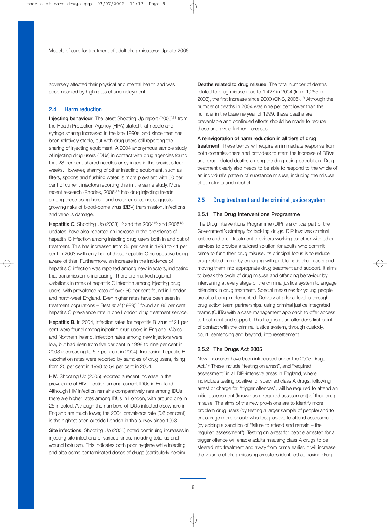adversely affected their physical and mental health and was accompanied by high rates of unemployment.

## 2.4 Harm reduction

Injecting behaviour. The latest Shooting Up report (2005)<sup>13</sup> from the Health Protection Agency (HPA) stated that needle and syringe sharing increased in the late 1990s, and since then has been relatively stable, but with drug users still reporting the sharing of injecting equipment. A 2004 anonymous sample study of injecting drug users (IDUs) in contact with drug agencies found that 28 per cent shared needles or syringes in the previous four weeks. However, sharing of other injecting equipment, such as filters, spoons and flushing water, is more prevalent with 50 per cent of current injectors reporting this in the same study. More recent research (Rhodes, 2006)<sup>14</sup> into drug injecting trends, among those using heroin and crack or cocaine, suggests growing risks of blood-borne virus (BBV) transmission, infections and venous damage.

**Hepatitis C.** Shooting Up (2003),  $15$  and the 2004 $16$  and 2005 $13$ updates, have also reported an increase in the prevalence of hepatitis C infection among injecting drug users both in and out of treatment. This has increased from 36 per cent in 1998 to 41 per cent in 2003 (with only half of those hepatitis C seropositive being aware of this). Furthermore, an increase in the incidence of hepatitis C infection was reported among new injectors, indicating that transmission is increasing. There are marked regional variations in rates of hepatitis C infection among injecting drug users, with prevalence rates of over 50 per cent found in London and north-west England. Even higher rates have been seen in treatment populations – Best *et al* (1999)<sup>17</sup> found an 86 per cent hepatitis C prevalence rate in one London drug treatment service.

Hepatitis B. In 2004, infection rates for hepatitis B virus of 21 per cent were found among injecting drug users in England, Wales and Northern Ireland. Infection rates among new injectors were low, but had risen from five per cent in 1998 to nine per cent in 2003 (decreasing to 6.7 per cent in 2004). Increasing hepatitis B vaccination rates were reported by samples of drug users, rising from 25 per cent in 1998 to 54 per cent in 2004.

HIV. Shooting Up (2005) reported a recent increase in the prevalence of HIV infection among current IDUs in England. Although HIV infection remains comparatively rare among IDUs there are higher rates among IDUs in London, with around one in 25 infected. Although the numbers of IDUs infected elsewhere in England are much lower, the 2004 prevalence rate (0.6 per cent) is the highest seen outside London in this survey since 1993.

Site infections. Shooting Up (2005) noted continuing increases in injecting site infections of various kinds, including tetanus and wound botulism. This indicates both poor hygiene while injecting and also some contaminated doses of drugs (particularly heroin).

Deaths related to drug misuse. The total number of deaths related to drug misuse rose to 1,427 in 2004 (from 1,255 in 2003), the first increase since 2000 (ONS, 2006).18 Although the number of deaths in 2004 was nine per cent lower than the number in the baseline year of 1999, these deaths are preventable and continued efforts should be made to reduce these and avoid further increases.

#### A reinvigoration of harm reduction in all tiers of drug

treatment. These trends will require an immediate response from both commissioners and providers to stem the increase of BBVs and drug-related deaths among the drug-using population. Drug treatment clearly also needs to be able to respond to the whole of an individual's pattern of substance misuse, including the misuse of stimulants and alcohol.

## 2.5 Drug treatment and the criminal justice system

#### 2.5.1 The Drug Interventions Programme

The Drug Interventions Programme (DIP) is a critical part of the Government's strategy for tackling drugs. DIP involves criminal justice and drug treatment providers working together with other services to provide a tailored solution for adults who commit crime to fund their drug misuse. Its principal focus is to reduce drug-related crime by engaging with problematic drug users and moving them into appropriate drug treatment and support. It aims to break the cycle of drug misuse and offending behaviour by intervening at every stage of the criminal justice system to engage offenders in drug treatment. Special measures for young people are also being implemented. Delivery at a local level is through drug action team partnerships, using criminal justice integrated teams (CJITs) with a case management approach to offer access to treatment and support. This begins at an offender's first point of contact with the criminal justice system, through custody, court, sentencing and beyond, into resettlement.

### 2.5.2 The Drugs Act 2005

New measures have been introduced under the 2005 Drugs Act.19 These include "testing on arrest", and "required assessment" in all DIP-intensive areas in England, where individuals testing positive for specified class A drugs, following arrest or charge for "trigger offences", will be required to attend an initial assessment (known as a required assessment) of their drug misuse. The aims of the new provisions are to identify more problem drug users (by testing a larger sample of people) and to encourage more people who test positive to attend assessment (by adding a sanction of "failure to attend and remain – the required assessment"). Testing on arrest for people arrested for a trigger offence will enable adults misusing class A drugs to be steered into treatment and away from crime earlier. It will increase the volume of drug-misusing arrestees identified as having drug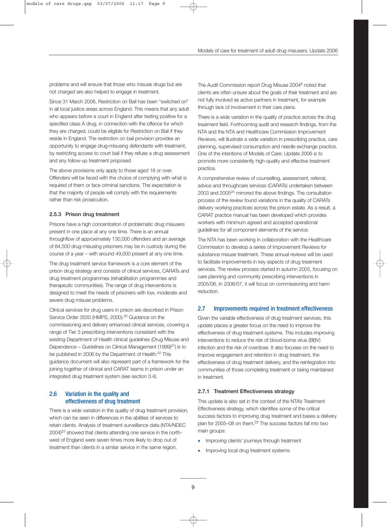problems and will ensure that those who misuse drugs but are not charged are also helped to engage in treatment.

Since 31 March 2006, Restriction on Bail has been "switched on" in all local justice areas across England. This means that any adult who appears before a court in England after testing positive for a specified class A drug, in connection with the offence for which they are charged, could be eligible for Restriction on Bail if they reside in England. The restriction on bail provision provides an opportunity to engage drug-misusing defendants with treatment, by restricting access to court bail if they refuse a drug assessment and any follow-up treatment proposed.

The above provisions only apply to those aged 18 or over. Offenders will be faced with the choice of complying with what is required of them or face criminal sanctions. The expectation is that the majority of people will comply with the requirements rather than risk prosecution.

### 2.5.3 Prison drug treatment

Prisons have a high concentration of problematic drug misusers present in one place at any one time. There is an annual throughflow of approximately 130,000 offenders and an average of 84,500 drug-misusing prisoners may be in custody during the course of a year – with around 49,000 present at any one time.

The drug treatment service framework is a core element of the prison drug strategy and consists of clinical services, CARATs and drug treatment programmes (rehabilitation programmes and therapeutic communities). The range of drug interventions is designed to meet the needs of prisoners with low, moderate and severe drug misuse problems.

Clinical services for drug users in prison are described in Prison Service Order 3550 (HMPS, 2000).20 Guidance on the commissioning and delivery enhanced clinical services, covering a range of Tier 3 prescribing interventions consistent with the existing Department of Health clinical guidelines (Drug Misuse and Dependence – Guidelines on Clinical Management (1999) $21$ ) is to be published in 2006 by the Department of Health.<sup>22</sup> This guidance document will also represent part of a framework for the joining together of clinical and CARAT teams in prison under an integrated drug treatment system (see section 3.4).

## 2.6 Variation in the quality and effectiveness of drug treatment

There is a wide variation in the quality of drug treatment provision, which can be seen in differences in the abilities of services to retain clients. Analysis of treatment surveillance data (NTA/NDEC 2004)<sup>23</sup> showed that clients attending one service in the northwest of England were seven times more likely to drop out of treatment than clients in a similar service in the same region.

The Audit Commission report Drug Misuse 20048 noted that clients are often unsure about the goals of their treatment and are not fully involved as active partners in treatment, for example through lack of involvement in their care plans.

There is a wide variation in the quality of practice across the drug treatment field. Forthcoming audit and research findings, from the NTA and the NTA and Healthcare Commission Improvement Reviews, will illustrate a wide variation in prescribing practice, care planning, supervised consumption and needle exchange practice. One of the intentions of Models of Care: Update 2006 is to promote more consistently high-quality and effective treatment practice.

A comprehensive review of counselling, assessment, referral, advice and throughcare services (CARATs) undertaken between 2003 and 200524 mirrored the above findings. The consultation process of the review found variations in the quality of CARATs delivery working practices across the prison estate. As a result, a CARAT practice manual has been developed which provides workers with minimum agreed and accepted operational guidelines for all component elements of the service.

The NTA has been working in collaboration with the Healthcare Commission to develop a series of Improvement Reviews for substance misuse treatment. These annual reviews will be used to facilitate improvements in key aspects of drug treatment services. The review process started in autumn 2005, focusing on care planning and community prescribing interventions in 2005/06. In 2006/07, it will focus on commissioning and harm reduction.

## 2.7 Improvements required in treatment effectiveness

Given the variable effectiveness of drug treatment services, this update places a greater focus on the need to improve the effectiveness of drug treatment systems. This includes improving interventions to reduce the risk of blood-borne virus (BBV) infection and the risk of overdose. It also focuses on the need to improve engagement and retention in drug treatment, the effectiveness of drug treatment delivery, and the reintegration into communities of those completing treatment or being maintained in treatment.

#### 2.7.1 Treatment Effectiveness strategy

This update is also set in the context of the NTA's Treatment Effectiveness strategy, which identifies some of the critical success factors to improving drug treatment and bases a delivery plan for 2005–08 on them.<sup>25</sup> The success factors fall into two main groups:

- Improving clients' journeys through treatment
- Improving local drug treatment systems.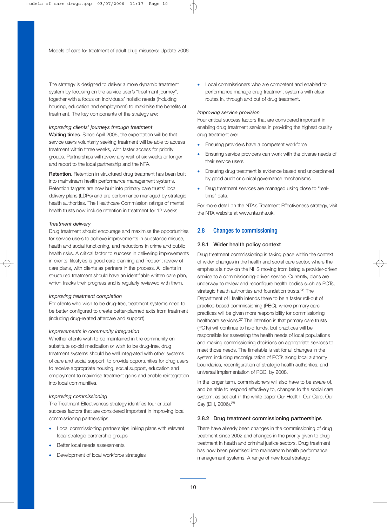The strategy is designed to deliver a more dynamic treatment system by focusing on the service user's "treatment journey", together with a focus on individuals' holistic needs (including housing, education and employment) to maximise the benefits of treatment. The key components of the strategy are:

#### *Improving clients' journeys through treatment*

Waiting times. Since April 2006, the expectation will be that service users voluntarily seeking treatment will be able to access treatment within three weeks, with faster access for priority groups. Partnerships will review any wait of six weeks or longer and report to the local partnership and the NTA.

Retention. Retention in structured drug treatment has been built into mainstream health performance management systems. Retention targets are now built into primary care trusts' local delivery plans (LDPs) and are performance managed by strategic health authorities. The Healthcare Commission ratings of mental health trusts now include retention in treatment for 12 weeks.

#### *Treatment delivery*

Drug treatment should encourage and maximise the opportunities for service users to achieve improvements in substance misuse, health and social functioning, and reductions in crime and public health risks. A critical factor to success in delivering improvements in clients' lifestyles is good care planning and frequent review of care plans, with clients as partners in the process. All clients in structured treatment should have an identifiable written care plan, which tracks their progress and is regularly reviewed with them.

#### *Improving treatment completion*

For clients who wish to be drug-free, treatment systems need to be better configured to create better-planned exits from treatment (including drug-related aftercare and support).

#### *Improvements in community integration*

Whether clients wish to be maintained in the community on substitute opioid medication or wish to be drug-free, drug treatment systems should be well integrated with other systems of care and social support, to provide opportunities for drug users to receive appropriate housing, social support, education and employment to maximise treatment gains and enable reintegration into local communities.

#### *Improving commissioning*

The Treatment Effectiveness strategy identifies four critical success factors that are considered important in improving local commissioning partnerships:

- Local commissioning partnerships linking plans with relevant local strategic partnership groups
- Better local needs assessments
- Development of local workforce strategies

• Local commissioners who are competent and enabled to performance manage drug treatment systems with clear routes in, through and out of drug treatment.

#### *Improving service provision*

Four critical success factors that are considered important in enabling drug treatment services in providing the highest quality drug treatment are:

- Ensuring providers have a competent workforce
- Ensuring service providers can work with the diverse needs of their service users
- Ensuring drug treatment is evidence based and underpinned by good audit or clinical governance mechanisms
- Drug treatment services are managed using close to "realtime" data.

For more detail on the NTA's Treatment Effectiveness strategy, visit the NTA website at www.nta.nhs.uk.

## 2.8 Changes to commissioning

### 2.8.1 Wider health policy context

Drug treatment commissioning is taking place within the context of wider changes in the health and social care sector, where the emphasis is now on the NHS moving from being a provider-driven service to a commissioning-driven service. Currently, plans are underway to review and reconfigure health bodies such as PCTs, strategic health authorities and foundation trusts.<sup>26</sup> The Department of Health intends there to be a faster roll-out of practice-based commissioning (PBC), where primary care practices will be given more responsibility for commissioning healthcare services.<sup>27</sup> The intention is that primary care trusts (PCTs) will continue to hold funds, but practices will be responsible for assessing the health needs of local populations and making commissioning decisions on appropriate services to meet those needs. The timetable is set for all changes in the system including reconfiguration of PCTs along local authority boundaries, reconfiguration of strategic health authorities, and universal implementation of PBC, by 2008.

In the longer term, commissioners will also have to be aware of, and be able to respond effectively to, changes to the social care system, as set out in the white paper Our Health, Our Care, Our Say (DH, 2006).28

### 2.8.2 Drug treatment commissioning partnerships

There have already been changes in the commissioning of drug treatment since 2002 and changes in the priority given to drug treatment in health and criminal justice sectors. Drug treatment has now been prioritised into mainstream health performance management systems. A range of new local strategic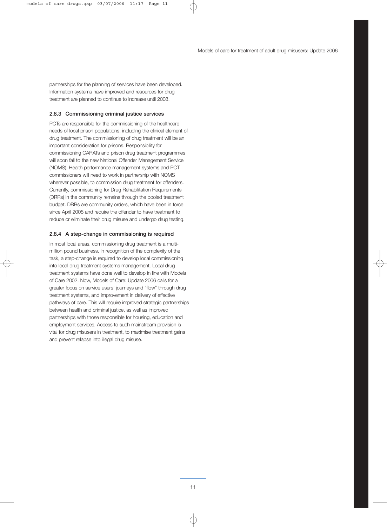partnerships for the planning of services have been developed. Information systems have improved and resources for drug treatment are planned to continue to increase until 2008.

#### 2.8.3 Commissioning criminal justice services

PCTs are responsible for the commissioning of the healthcare needs of local prison populations, including the clinical element of drug treatment. The commissioning of drug treatment will be an important consideration for prisons. Responsibility for commissioning CARATs and prison drug treatment programmes will soon fall to the new National Offender Management Service (NOMS). Health performance management systems and PCT commissioners will need to work in partnership with NOMS wherever possible, to commission drug treatment for offenders. Currently, commissioning for Drug Rehabilitation Requirements (DRRs) in the community remains through the pooled treatment budget. DRRs are community orders, which have been in force since April 2005 and require the offender to have treatment to reduce or eliminate their drug misuse and undergo drug testing.

#### 2.8.4 A step-change in commissioning is required

In most local areas, commissioning drug treatment is a multimillion pound business. In recognition of the complexity of the task, a step-change is required to develop local commissioning into local drug treatment systems management. Local drug treatment systems have done well to develop in line with Models of Care 2002. Now, Models of Care: Update 2006 calls for a greater focus on service users' journeys and "flow" through drug treatment systems, and improvement in delivery of effective pathways of care. This will require improved strategic partnerships between health and criminal justice, as well as improved partnerships with those responsible for housing, education and employment services. Access to such mainstream provision is vital for drug misusers in treatment, to maximise treatment gains and prevent relapse into illegal drug misuse.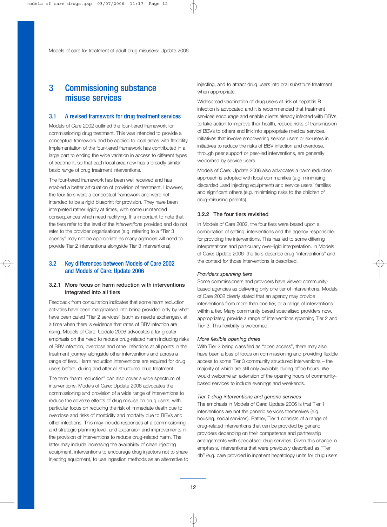## 3 Commissioning substance misuse services

### 3.1 A revised framework for drug treatment services

Models of Care 2002 outlined the four-tiered framework for commissioning drug treatment. This was intended to provide a conceptual framework and be applied to local areas with flexibility. Implementation of the four-tiered framework has contributed in a large part to ending the wide variation in access to different types of treatment, so that each local area now has a broadly similar basic range of drug treatment interventions.

The four-tiered framework has been well received and has enabled a better articulation of provision of treatment. However, the four tiers were a conceptual framework and were not intended to be a rigid blueprint for provision. They have been interpreted rather rigidly at times, with some unintended consequences which need rectifying. It is important to note that the tiers refer to the level of the *interventions* provided and do not refer to the provider organisations (e.g. referring to a "Tier 3 agency" may not be appropriate as many agencies will need to provide Tier 2 interventions alongside Tier 3 interventions).

## 3.2 Key differences between Models of Care 2002 and Models of Care: Update 2006

## 3.2.1 More focus on harm reduction with interventions integrated into all tiers

Feedback from consultation indicates that some harm reduction activities have been marginalised into being provided only by what have been called "Tier 2 services" (such as needle exchanges), at a time when there is evidence that rates of BBV infection are rising. Models of Care: Update 2006 advocates a far greater emphasis on the need to reduce drug-related harm including risks of BBV infection, overdose and other infections at all points in the treatment journey, alongside other interventions and across a range of tiers. Harm reduction interventions are required for drug users before, during and after all structured drug treatment.

The term "harm reduction" can also cover a wide spectrum of interventions. Models of Care: Update 2006 advocates the commissioning and provision of a wide range of interventions to reduce the adverse effects of drug misuse on drug users, with particular focus on reducing the risk of immediate death due to overdose and risks of morbidity and mortality due to BBVs and other infections. This may include responses at a commissioning and strategic planning level, and expansion and improvements in the provision of interventions to reduce drug-related harm. The latter may include increasing the availability of clean injecting equipment, interventions to encourage drug injectors not to share injecting equipment, to use ingestion methods as an alternative to injecting, and to attract drug users into oral substitute treatment when appropriate.

Widespread vaccination of drug users at risk of hepatitis B infection is advocated and it is recommended that treatment services encourage and enable clients already infected with BBVs to take action to improve their health, reduce risks of transmission of BBVs to others and link into appropriate medical services. Initiatives that involve empowering service users or ex-users in initiatives to reduce the risks of BBV infection and overdose, through peer support or peer-led interventions, are generally welcomed by service users.

Models of Care: Update 2006 also advocates a harm reduction approach is adopted with local communities (e.g. minimising discarded used injecting equipment) and service users' families and significant others (e.g. minimising risks to the children of drug-misusing parents).

#### 3.2.2 The four tiers revisited

In Models of Care 2002, the four tiers were based upon a combination of setting, interventions and the agency responsible for providing the interventions. This has led to some differing interpretations and particularly over-rigid interpretation. In Models of Care: Update 2006*,* the tiers describe drug "interventions" and the context for those interventions is described.

#### *Providers spanning tiers*

Some commissioners and providers have viewed communitybased agencies as delivering only one tier of interventions. Models of Care 2002 clearly stated that an agency may provide interventions from more than one tier, or a range of interventions within a tier. Many community based specialised providers now, appropriately, provide a range of interventions spanning Tier 2 and Tier 3. This flexibility is welcomed.

#### *More flexible opening times*

With Tier 2 being classified as "open access", there may also have been a loss of focus on commissioning and providing flexible access to some Tier 3 community structured interventions – the majority of which are still only available during office hours. We would welcome an extension of the opening hours of communitybased services to include evenings and weekends.

#### *Tier 1 drug interventions and generic services*

The emphasis in Models of Care: Update 2006 is that Tier 1 interventions are not the generic services themselves (e.g. housing, social services). Rather, Tier 1 consists of a range of drug-related interventions that can be provided by generic providers depending on their competence and partnership arrangements with specialised drug services. Given this change in emphasis, interventions that were previously described as "Tier 4b" (e.g. care provided in inpatient hepatology units for drug users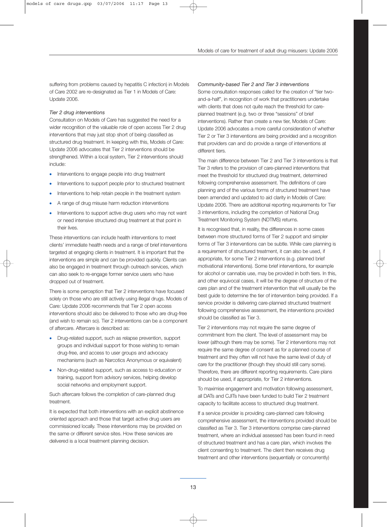suffering from problems caused by hepatitis C infection) in Models of Care 2002 are re-designated as Tier 1 in Models of Care: Update 2006.

## *Tier 2 drug interventions*

Consultation on Models of Care has suggested the need for a wider recognition of the valuable role of open access Tier 2 drug interventions that may just stop short of being classified as structured drug treatment. In keeping with this, Models of Care: Update 2006 advocates that Tier 2 interventions should be strengthened. Within a local system, Tier 2 interventions should include:

- Interventions to engage people into drug treatment
- Interventions to support people prior to structured treatment
- Interventions to help retain people in the treatment system
- A range of drug misuse harm reduction interventions
- Interventions to support active drug users who may not want or need intensive structured drug treatment at that point in their lives.

These interventions can include health interventions to meet clients' immediate health needs and a range of brief interventions targeted at engaging clients in treatment. It is important that the interventions are simple and can be provided quickly. Clients can also be engaged in treatment through outreach services, which can also seek to re-engage former service users who have dropped out of treatment.

There is some perception that Tier 2 interventions have focused solely on those who are still actively using illegal drugs. Models of Care: Update 2006 recommends that Tier 2 open access interventions should also be delivered to those who are drug-free (and wish to remain so). Tier 2 interventions can be a component of aftercare. Aftercare is described as:

- Drug-related support, such as relapse prevention, support groups and individual support for those wishing to remain drug-free, and access to user groups and advocacy mechanisms (such as Narcotics Anonymous or equivalent)
- Non-drug-related support, such as access to education or training, support from advisory services, helping develop social networks and employment support.

Such aftercare follows the completion of care-planned drug treatment.

It is expected that both interventions with an explicit abstinence oriented approach and those that target active drug users are commissioned locally. These interventions may be provided on the same or different service sites. How these services are delivered is a local treatment planning decision.

## *Community-based Tier 2 and Tier 3 interventions*

Some consultation responses called for the creation of "tier twoand-a-half", in recognition of work that practitioners undertake with clients that does not quite reach the threshold for careplanned treatment (e.g. two or three "sessions" of brief interventions). Rather than create a new tier, Models of Care: Update 2006 advocates a more careful consideration of whether Tier 2 or Tier 3 interventions are being provided and a recognition that providers can and do provide a range of interventions at different tiers.

The main difference between Tier 2 and Tier 3 interventions is that Tier 3 refers to the provision of care-planned interventions that meet the threshold for structured drug treatment, determined following comprehensive assessment. The definitions of care planning and of the various forms of structured treatment have been amended and updated to aid clarity in Models of Care: Update 2006. There are additional reporting requirements for Tier 3 interventions, including the completion of National Drug Treatment Monitoring System (NDTMS) returns.

It is recognised that, in reality, the differences in some cases between more structured forms of Tier 2 support and simpler forms of Tier 3 interventions can be subtle. While care planning is a requirement of structured treatment, it can also be used, if appropriate, for some Tier 2 interventions (e.g. planned brief motivational interventions). Some brief interventions, for example for alcohol or cannabis use, may be provided in both tiers. In this, and other equivocal cases, it will be the degree of structure of the care plan and of the treatment intervention that will usually be the best guide to determine the tier of intervention being provided. If a service provider is delivering care-planned structured treatment following comprehensive assessment, the interventions provided should be classified as Tier 3.

Tier 2 interventions may not require the same degree of commitment from the client. The level of assessment may be lower (although there may be some). Tier 2 interventions may not require the same degree of consent as for a planned course of treatment and they often will not have the same level of duty of care for the practitioner (though they should still carry some). Therefore, there are different reporting requirements. Care plans should be used, if appropriate, for Tier 2 interventions.

To maximise engagement and motivation following assessment, all DATs and CJITs have been funded to build Tier 2 treatment capacity to facilitate access to structured drug treatment.

If a service provider is providing care-planned care following comprehensive assessment, the interventions provided should be classified as Tier 3. Tier 3 interventions comprise care-planned treatment, where an individual assessed has been found in need of structured treatment and has a care plan, which involves the client consenting to treatment. The client then receives drug treatment and other interventions (sequentially or concurrently)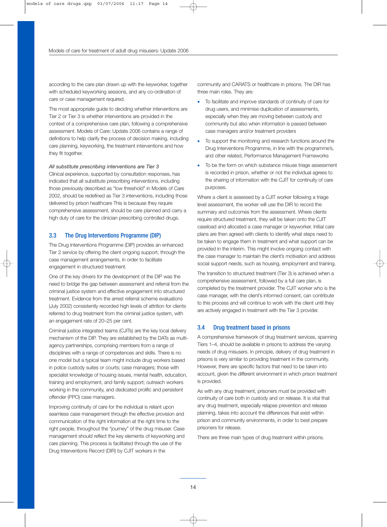according to the care plan drawn up with the keyworker, together with scheduled keyworking sessions, and any co-ordination of care or case management required.

The most appropriate guide to deciding whether interventions are Tier 2 or Tier 3 is whether interventions are provided in the context of a comprehensive care plan, following a comprehensive assessment. Models of Care: Update 2006 contains a range of definitions to help clarify the process of decision making, including care planning, keyworking, the treatment interventions and how they fit together.

#### *All substitute prescribing interventions are Tier 3*

Clinical experience, supported by consultation responses, has indicated that all substitute prescribing interventions, including those previously described as "low threshold" in Models of Care 2002, should be redefined as Tier 3 interventions, including those delivered by prison healthcare This is because they require comprehensive assessment, should be care planned and carry a high duty of care for the clinician prescribing controlled drugs.

#### 3.3 The Drug Interventions Programme (DIP)

The Drug Interventions Programme (DIP) provides an enhanced Tier 2 service by offering the client ongoing support, through the case management arrangements, in order to facilitate engagement in structured treatment.

One of the key drivers for the development of the DIP was the need to bridge the gap between assessment and referral from the criminal justice system and effective engagement into structured treatment. Evidence from the arrest referral scheme evaluations (July 2002) consistently recorded high levels of attrition for clients referred to drug treatment from the criminal justice system, with an engagement rate of 20–25 per cent.

Criminal justice integrated teams (CJITs) are the key local delivery mechanism of the DIP. They are established by the DATs as multiagency partnerships, comprising members from a range of disciplines with a range of competences and skills. There is no one model but a typical team might include drug workers based in police custody suites or courts; case managers; those with specialist knowledge of housing issues, mental health, education, training and employment, and family support; outreach workers working in the community, and dedicated prolific and persistent offender (PPO) case managers.

Improving continuity of care for the individual is reliant upon seamless case management through the effective provision and communication of the right information at the right time to the right people, throughout the "journey" of the drug misuser. Case management should reflect the key elements of keyworking and care planning. This process is facilitated through the use of the Drug Interventions Record (DIR) by CJIT workers in the

community and CARATS or healthcare in prisons. The DIR has three main roles. They are:

- To facilitate and improve standards of continuity of care for drug users, and minimise duplication of assessments, especially when they are moving between custody and community but also when information is passed between case managers and/or treatment providers
- To support the monitoring and research functions around the Drug Interventions Programme, in line with the programme's, and other related, Performance Management Frameworks
- To be the form on which substance misuse triage assessment is recorded in prison, whether or not the individual agrees to the sharing of information with the CJIT for continuity of care purposes.

Where a client is assessed by a CJIT worker following a triage level assessment, the worker will use the DIR to record the summary and outcomes from the assessment. Where clients require structured treatment, they will be taken onto the CJIT caseload and allocated a case manager or keyworker. Initial care plans are then agreed with clients to identify what steps need to be taken to engage them in treatment and what support can be provided in the interim. This might involve ongoing contact with the case manager to maintain the client's motivation and address social support needs, such as housing, employment and training.

The transition to structured treatment (Tier 3) is achieved when a comprehensive assessment, followed by a full care plan, is completed by the treatment provider. The CJIT worker who is the case manager, with the client's informed consent, can contribute to this process and will continue to work with the client until they are actively engaged in treatment with the Tier 3 provider.

#### 3.4 Drug treatment based in prisons

A comprehensive framework of drug treatment services, spanning Tiers 1–4, should be available in prisons to address the varying needs of drug misusers. In principle, delivery of drug treatment in prisons is very similar to providing treatment in the community. However, there are specific factors that need to be taken into account, given the different environment in which prison treatment is provided.

As with any drug treatment, prisoners must be provided with continuity of care both in custody and on release. It is vital that any drug treatment, especially relapse prevention and release planning, takes into account the differences that exist within prison and community environments, in order to best prepare prisoners for release.

There are three main types of drug treatment within prisons.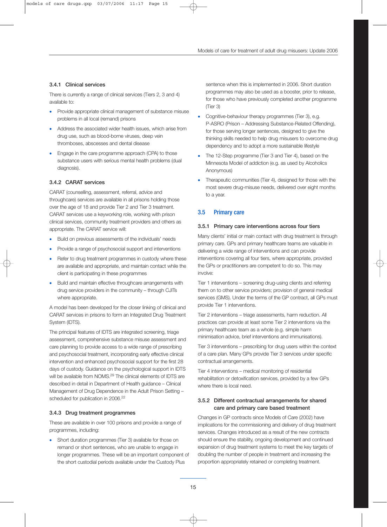## 3.4.1 Clinical services

There is currently a range of clinical services (Tiers 2, 3 and 4) available to:

- Provide appropriate clinical management of substance misuse problems in all local (remand) prisons
- Address the associated wider health issues, which arise from drug use, such as blood-borne viruses, deep vein thromboses, abscesses and dental disease
- Engage in the care programme approach (CPA) to those substance users with serious mental health problems (dual diagnosis).

## 3.4.2 CARAT services

CARAT (counselling, assessment, referral, advice and throughcare) services are available in all prisons holding those over the age of 18 and provide Tier 2 and Tier 3 treatment. CARAT services use a keyworking role, working with prison clinical services, community treatment providers and others as appropriate. The CARAT service will:

- Build on previous assessments of the individuals' needs
- Provide a range of psychosocial support and interventions
- Refer to drug treatment programmes in custody where these are available and appropriate, and maintain contact while the client is participating in these programmes
- Build and maintain effective throughcare arrangements with drug service providers in the community – through CJITs where appropriate.

A model has been developed for the closer linking of clinical and CARAT services in prisons to form an Integrated Drug Treatment System (IDTS).

The principal features of IDTS are integrated screening, triage assessment, comprehensive substance misuse assessment and care planning to provide access to a wide range of prescribing and psychosocial treatment, incorporating early effective clinical intervention and enhanced psychosocial support for the first 28 days of custody. Guidance on the psychological support in IDTS will be available from NOMS.<sup>29</sup> The clinical elements of IDTS are described in detail in Department of Health guidance – Clinical Management of Drug Dependence in the Adult Prison Setting – scheduled for publication in 2006.<sup>22</sup>

### 3.4.3 Drug treatment programmes

These are available in over 100 prisons and provide a range of programmes, including:

• Short duration programmes (Tier 3) available for those on remand or short sentences, who are unable to engage in longer programmes. These will be an important component of the short custodial periods available under the Custody Plus

sentence when this is implemented in 2006. Short duration programmes may also be used as a booster, prior to release, for those who have previously completed another programme (Tier 3)

- Cognitive-behaviour therapy programmes (Tier 3), e.g. P-ASRO (Prison – Addressing Substance-Related Offending), for those serving longer sentences, designed to give the thinking skills needed to help drug misusers to overcome drug dependency and to adopt a more sustainable lifestyle
- The 12-Step programme (Tier 3 and Tier 4), based on the Minnesota Model of addiction (e.g. as used by Alcoholics Anonymous)
- Therapeutic communities (Tier 4), designed for those with the most severe drug-misuse needs, delivered over eight months to a year.

## 3.5 Primary care

## 3.5.1 Primary care interventions across four tiers

Many clients' initial or main contact with drug treatment is through primary care. GPs and primary healthcare teams are valuable in delivering a wide range of interventions and can provide interventions covering all four tiers, where appropriate, provided the GPs or practitioners are competent to do so. This may involve:

Tier 1 interventions – screening drug-using clients and referring them on to other service providers; provision of general medical services (GMS). Under the terms of the GP contract, all GPs must provide Tier 1 interventions.

Tier 2 interventions – triage assessments, harm reduction. All practices can provide at least some Tier 2 interventions via the primary healthcare team as a whole (e.g. simple harm minimisation advice, brief interventions and immunisations).

Tier 3 interventions – prescribing for drug users within the context of a care plan. Many GPs provide Tier 3 services under specific contractual arrangements.

Tier 4 interventions – medical monitoring of residential rehabilitation or detoxification services, provided by a few GPs where there is local need.

## 3.5.2 Different contractual arrangements for shared care and primary care based treatment

Changes in GP contracts since Models of Care (2002) have implications for the commissioning and delivery of drug treatment services. Changes introduced as a result of the new contracts should ensure the stability, ongoing development and continued expansion of drug treatment systems to meet the key targets of doubling the number of people in treatment and increasing the proportion appropriately retained or completing treatment.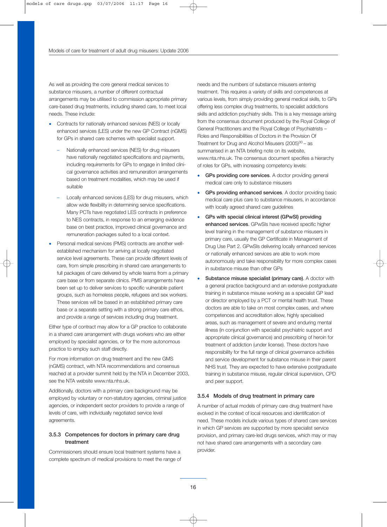As well as providing the core general medical services to substance misusers, a number of different contractual arrangements may be utilised to commission appropriate primary care-based drug treatments, including shared care, to meet local needs. These include:

- Contracts for nationally enhanced services (NES) or locally enhanced services (LES) under the new GP Contract (nGMS) for GPs in shared care schemes with specialist support.
	- Nationally enhanced services (NES) for drug misusers have nationally negotiated specifications and payments, including requirements for GPs to engage in limited clinical governance activities and remuneration arrangements based on treatment modalities, which may be used if suitable
	- Locally enhanced services (LES) for drug misusers, which allow wide flexibility in determining service specifications. Many PCTs have negotiated LES contracts in preference to NES contracts, in response to an emerging evidence base on best practice, improved clinical governance and remuneration packages suited to a local context.
- Personal medical services (PMS) contracts are another wellestablished mechanism for arriving at locally negotiated service level agreements. These can provide different levels of care, from simple prescribing in shared care arrangements to full packages of care delivered by whole teams from a primary care base or from separate clinics. PMS arrangements have been set up to deliver services to specific vulnerable patient groups, such as homeless people, refugees and sex workers. These services will be based in an established primary care base or a separate setting with a strong primary care ethos, and provide a range of services including drug treatment.

Either type of contract may allow for a GP practice to collaborate in a shared care arrangement with drugs workers who are either employed by specialist agencies, or for the more autonomous practice to employ such staff directly.

For more information on drug treatment and the new GMS (nGMS) contract, with NTA recommendations and consensus reached at a provider summit held by the NTA in December 2003, see the NTA website www.nta.nhs.uk.

Additionally, doctors with a primary care background may be employed by voluntary or non-statutory agencies, criminal justice agencies, or independent sector providers to provide a range of levels of care, with individually negotiated service level agreements.

## 3.5.3 Competences for doctors in primary care drug treatment

Commissioners should ensure local treatment systems have a complete spectrum of medical provisions to meet the range of needs and the numbers of substance misusers entering treatment. This requires a variety of skills and competences at various levels, from simply providing general medical skills, to GPs offering less complex drug treatments, to specialist addictions skills and addiction psychiatry skills. This is a key message arising from the consensus document produced by the Royal College of General Practitioners and the Royal College of Psychiatrists – Roles and Responsibilities of Doctors in the Provision Of Treatment for Drug and Alcohol Misusers  $(2005)^{30}$  – as summarised in an NTA briefing note on its website, www.nta.nhs.uk. The consensus document specifies a hierarchy of roles for GPs, with increasing competency levels:

- GPs providing core services. A doctor providing general medical care only to substance misusers
- GPs providing enhanced services. A doctor providing basic medical care plus care to substance misusers, in accordance with locally agreed shared care guidelines
- GPs with special clinical interest (GPwSI) providing enhanced services. GPwSIs have received specific higher level training in the management of substance misusers in primary care, usually the GP Certificate in Management of Drug Use Part 2. GPwSIs delivering locally enhanced services or nationally enhanced services are able to work more autonomously and take responsibility for more complex cases in substance misuse than other GPs
- Substance misuse specialist (primary care). A doctor with a general practice background and an extensive postgraduate training in substance misuse working as a specialist GP lead or director employed by a PCT or mental health trust. These doctors are able to take on most complex cases, and where competences and accreditation allow, highly specialised areas, such as management of severe and enduring mental illness (in conjunction with specialist psychiatric support and appropriate clinical governance) and prescribing of heroin for treatment of addiction (under license). These doctors have responsibility for the full range of clinical governance activities and service development for substance misuse in their parent NHS trust. They are expected to have extensive postgraduate training in substance misuse, regular clinical supervision, CPD and peer support.

### 3.5.4 Models of drug treatment in primary care

A number of actual models of primary care drug treatment have evolved in the context of local resources and identification of need. These models include various types of shared care services in which GP services are supported by more specialist service provision, and primary care-led drugs services, which may or may not have shared care arrangements with a secondary care provider.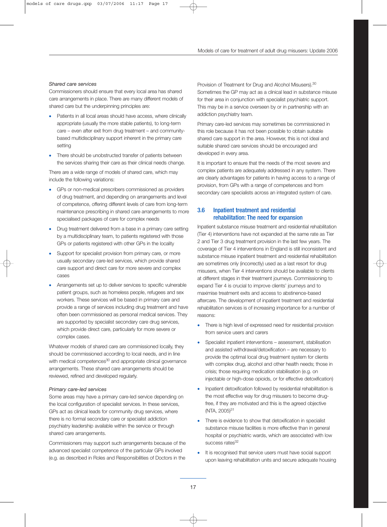#### *Shared care services*

Commissioners should ensure that every local area has shared care arrangements in place. There are many different models of shared care but the underpinning principles are:

- Patients in all local areas should have access, where clinically appropriate (usually the more stable patients), to long-term care – even after exit from drug treatment – and communitybased multidisciplinary support inherent in the primary care setting
- There should be unobstructed transfer of patients between the services sharing their care as their clinical needs change.

There are a wide range of models of shared care, which may include the following variations:

- GPs or non-medical prescribers commissioned as providers of drug treatment, and depending on arrangements and level of competence, offering different levels of care from long-term maintenance prescribing in shared care arrangements to more specialised packages of care for complex needs
- Drug treatment delivered from a base in a primary care setting by a multidisciplinary team, to patients registered with those GPs or patients registered with other GPs in the locality
- Support for specialist provision from primary care, or more usually secondary care-led services, which provide shared care support and direct care for more severe and complex cases
- Arrangements set up to deliver services to specific vulnerable patient groups, such as homeless people, refugees and sex workers. These services will be based in primary care and provide a range of services including drug treatment and have often been commissioned as personal medical services. They are supported by specialist secondary care drug services, which provide direct care, particularly for more severe or complex cases.

Whatever models of shared care are commissioned locally, they should be commissioned according to local needs, and in line with medical competences<sup>30</sup> and appropriate clinical governance arrangements. These shared care arrangements should be reviewed, refined and developed regularly.

#### *Primary care-led services*

Some areas may have a primary care-led service depending on the local configuration of specialist services. In these services, GPs act as clinical leads for community drug services, where there is no formal secondary care or specialist addiction psychiatry leadership available within the service or through shared care arrangements.

Commissioners may support such arrangements because of the advanced specialist competence of the particular GPs involved (e.g. as described in Roles and Responsibilities of Doctors in the Provision of Treatment for Drug and Alcohol Misusers).<sup>30</sup> Sometimes the GP may act as a clinical lead in substance misuse for their area in conjunction with specialist psychiatric support. This may be in a service overseen by or in partnership with an addiction psychiatry team.

Primary care-led services may sometimes be commissioned in this role because it has not been possible to obtain suitable shared care support in the area. However, this is not ideal and suitable shared care services should be encouraged and developed in every area.

It is important to ensure that the needs of the most severe and complex patients are adequately addressed in any system. There are clearly advantages for patients in having access to a range of provision, from GPs with a range of competences and from secondary care specialists across an integrated system of care.

## 3.6 Inpatient treatment and residential rehabilitation: The need for expansion

Inpatient substance misuse treatment and residential rehabilitation (Tier 4) interventions have not expanded at the same rate as Tier 2 and Tier 3 drug treatment provision in the last few years. The coverage of Tier 4 interventions in England is still inconsistent and substance misuse inpatient treatment and residential rehabilitation are sometimes only (incorrectly) used as a last resort for drug misusers, when Tier 4 interventions should be available to clients at different stages in their treatment journeys. Commissioning to expand Tier 4 is crucial to improve clients' journeys and to maximise treatment exits and access to abstinence-based aftercare. The development of inpatient treatment and residential rehabilitation services is of increasing importance for a number of reasons:

- There is high level of expressed need for residential provision from service users and carers
- Specialist inpatient interventions assessment, stabilisation and assisted withdrawal/detoxification – are necessary to provide the optimal local drug treatment system for clients with complex drug, alcohol and other health needs; those in crisis; those requiring medication stabilisation (e.g. on injectable or high-dose opioids, or for effective detoxification)
- Inpatient detoxification followed by residential rehabilitation is the most effective way for drug misusers to become drugfree, if they are motivated and this is the agreed objective  $(NTA, 2005)^{31}$
- There is evidence to show that detoxification in specialist substance misuse facilities is more effective than in general hospital or psychiatric wards, which are associated with low success rates<sup>32</sup>
- It is recognised that service users must have social support upon leaving rehabilitation units and secure adequate housing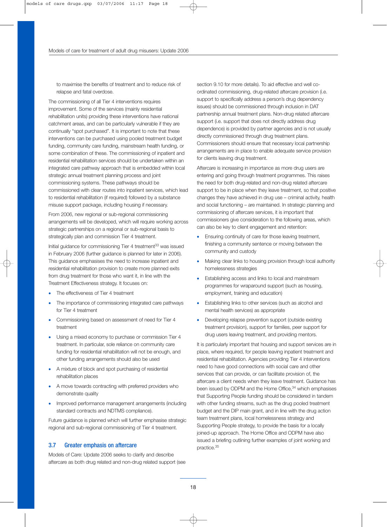to maximise the benefits of treatment and to reduce risk of relapse and fatal overdose.

The commissioning of all Tier 4 interventions requires improvement. Some of the services (mainly residential rehabilitation units) providing these interventions have national catchment areas, and can be particularly vulnerable if they are continually "spot purchased". It is important to note that these interventions can be purchased using pooled treatment budget funding, community care funding, mainstream health funding, or some combination of these. The commissioning of inpatient and residential rehabilitation services should be undertaken within an integrated care pathway approach that is embedded within local strategic annual treatment planning process and joint commissioning systems. These pathways should be commissioned with clear routes into inpatient services, which lead to residential rehabilitation (if required) followed by a substance misuse support package, including housing if necessary.

From 2006, new regional or sub-regional commissioning arrangements will be developed, which will require working across strategic partnerships on a regional or sub-regional basis to strategically plan and commission Tier 4 treatment.

Initial guidance for commissioning Tier 4 treatment<sup>33</sup> was issued in February 2006 (further guidance is planned for later in 2006). This guidance emphasises the need to increase inpatient and residential rehabilitation provision to create more planned exits from drug treatment for those who want it, in line with the Treatment Effectiveness strategy. It focuses on:

- The effectiveness of Tier 4 treatment
- The importance of commissioning integrated care pathways for Tier 4 treatment
- Commissioning based on assessment of need for Tier 4 treatment
- Using a mixed economy to purchase or commission Tier 4 treatment. In particular, sole reliance on community care funding for residential rehabilitation will not be enough, and other funding arrangements should also be used
- A mixture of block and spot purchasing of residential rehabilitation places
- A move towards contracting with preferred providers who demonstrate quality
- Improved performance management arrangements (including standard contracts and NDTMS compliance).

Future guidance is planned which will further emphasise strategic regional and sub-regional commissioning of Tier 4 treatment.

## 3.7 Greater emphasis on aftercare

Models of Care: Update 2006 seeks to clarify and describe aftercare as both drug related and non-drug related support (see section 9.10 for more details). To aid effective and well coordinated commissioning, drug-related aftercare provision (i.e. support to specifically address a person's drug dependency issues) should be commissioned through inclusion in DAT partnership annual treatment plans. Non-drug related aftercare support (i.e. support that does not directly address drug dependence) is provided by partner agencies and is not usually directly commissioned through drug treatment plans. Commissioners should ensure that necessary local partnership arrangements are in place to enable adequate service provision for clients leaving drug treatment.

Aftercare is increasing in importance as more drug users are entering and going through treatment programmes. This raises the need for both drug-related and non-drug related aftercare support to be in place when they leave treatment, so that positive changes they have achieved in drug use – criminal activity, health and social functioning – are maintained. In strategic planning and commissioning of aftercare services, it is important that commissioners give consideration to the following areas, which can also be key to client engagement and retention:

- Ensuring continuity of care for those leaving treatment, finishing a community sentence or moving between the community and custody
- Making clear links to housing provision through local authority homelessness strategies
- Establishing access and links to local and mainstream programmes for wraparound support (such as housing, employment, training and education)
- Establishing links to other services (such as alcohol and mental health services) as appropriate
- Developing relapse prevention support (outside existing treatment provision), support for families, peer support for drug users leaving treatment, and providing mentors.

It is particularly important that housing and support services are in place, where required, for people leaving inpatient treatment and residential rehabilitation. Agencies providing Tier 4 interventions need to have good connections with social care and other services that can provide, or can facilitate provision of, the aftercare a client needs when they leave treatment. Guidance has been issued by ODPM and the Home Office,<sup>34</sup> which emphasises that Supporting People funding should be considered in tandem with other funding streams, such as the drug pooled treatment budget and the DIP main grant, and in line with the drug action team treatment plans, local homelessness strategy and Supporting People strategy, to provide the basis for a locally joined-up approach. The Home Office and ODPM have also issued a briefing outlining further examples of joint working and practice.35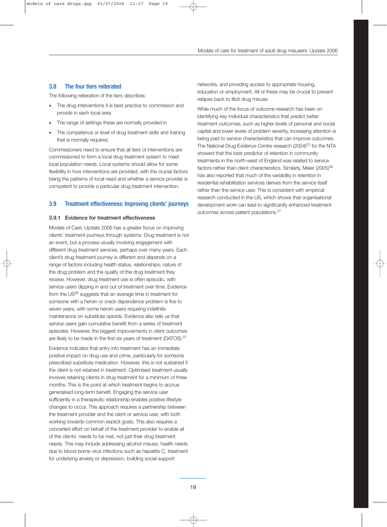### 3.8 The four tiers reiterated

The following reiteration of the tiers describes:

- The drug interventions it is best practice to commission and provide in each local area
- The range of settings these are normally provided in
- The competence or level of drug treatment skills and training that is normally required.

Commissioners need to ensure that all tiers of interventions are commissioned to form a local drug treatment system to meet local population needs. Local systems should allow for some flexibility in how interventions are provided, with the crucial factors being the patterns of local need and whether a service provider is competent to provide a particular drug treatment intervention.

### 3.9 Treatment effectiveness: Improving clients' journeys

#### 3.9.1 Evidence for treatment effectiveness

Models of Care: Update 2006 has a greater focus on improving clients' treatment journeys through systems. Drug treatment is not an event, but a process usually involving engagement with different drug treatment services, perhaps over many years. Each client's drug treatment journey is different and depends on a range of factors including health status, relationships, nature of the drug problem and the quality of the drug treatment they receive. However, drug treatment use is often episodic, with service users dipping in and out of treatment over time. Evidence from the US<sup>36</sup> suggests that an average time in treatment for someone with a heroin or crack dependence problem is five to seven years, with some heroin users requiring indefinite maintenance on substitute opioids. Evidence also tells us that service users gain cumulative benefit from a series of treatment episodes. However, the biggest improvements in client outcomes are likely to be made in the first six years of treatment (DATOS).<sup>37</sup>

Evidence indicates that entry into treatment has an immediate positive impact on drug use and crime, particularly for someone prescribed substitute medication. However, this is not sustained if the client is not retained in treatment. Optimised treatment usually involves retaining clients in drug treatment for a minimum of three months. This is the point at which treatment begins to accrue generalised long-term benefit. Engaging the service user sufficiently in a therapeutic relationship enables positive lifestyle changes to occur. This approach requires a partnership between the treatment provider and the client or service user, with both working towards common explicit goals. This also requires a concerted effort on behalf of the treatment provider to enable all of the clients' needs to be met, not just their drug treatment needs. This may include addressing alcohol misuse, health needs due to blood-borne virus infections such as hepatitis C, treatment for underlying anxiety or depression, building social support

networks, and providing access to appropriate housing, education or employment. All of these may be crucial to prevent relapse back to illicit drug misuse.

While much of the focus of outcome research has been on identifying key individual characteristics that predict better treatment outcomes, such as higher levels of personal and social capital and lower levels of problem severity, increasing attention is being paid to service characteristics that can improve outcomes. The National Drug Evidence Centre research (2004)<sup>23</sup> for the NTA showed that the best predictor of retention in community treatments in the north-west of England was related to service factors rather than client characteristics. Similarly, Meier (2005)<sup>38</sup> has also reported that much of the variability in retention in residential rehabilitation services derives from the service itself rather than the service user. This is consistent with empirical research conducted in the US, which shows that organisational development work can lead to significantly enhanced treatment outcomes across patient populations.37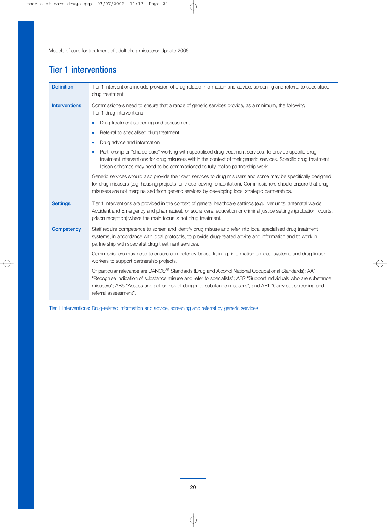## Tier 1 interventions

| <b>Definition</b>    | Tier 1 interventions include provision of drug-related information and advice, screening and referral to specialised<br>drug treatment.                                                                                                                                                                                                                                    |
|----------------------|----------------------------------------------------------------------------------------------------------------------------------------------------------------------------------------------------------------------------------------------------------------------------------------------------------------------------------------------------------------------------|
| <b>Interventions</b> | Commissioners need to ensure that a range of generic services provide, as a minimum, the following<br>Tier 1 drug interventions:                                                                                                                                                                                                                                           |
|                      | Drug treatment screening and assessment<br>$\bullet$                                                                                                                                                                                                                                                                                                                       |
|                      | Referral to specialised drug treatment<br>$\bullet$                                                                                                                                                                                                                                                                                                                        |
|                      | Drug advice and information<br>$\bullet$                                                                                                                                                                                                                                                                                                                                   |
|                      | Partnership or "shared care" working with specialised drug treatment services, to provide specific drug<br>$\bullet$<br>treatment interventions for drug misusers within the context of their generic services. Specific drug treatment<br>liaison schemes may need to be commissioned to fully realise partnership work.                                                  |
|                      | Generic services should also provide their own services to drug misusers and some may be specifically designed<br>for drug misusers (e.g. housing projects for those leaving rehabilitation). Commissioners should ensure that drug<br>misusers are not marginalised from generic services by developing local strategic partnerships.                                     |
| <b>Settings</b>      | Tier 1 interventions are provided in the context of general healthcare settings (e.g. liver units, antenatal wards,<br>Accident and Emergency and pharmacies), or social care, education or criminal justice settings (probation, courts,<br>prison reception) where the main focus is not drug treatment.                                                                 |
| <b>Competency</b>    | Staff require competence to screen and identify drug misuse and refer into local specialised drug treatment<br>systems, in accordance with local protocols, to provide drug-related advice and information and to work in<br>partnership with specialist drug treatment services.                                                                                          |
|                      | Commissioners may need to ensure competency-based training, information on local systems and drug liaison<br>workers to support partnership projects.                                                                                                                                                                                                                      |
|                      | Of particular relevance are DANOS <sup>39</sup> Standards (Drug and Alcohol National Occupational Standards): AA1<br>"Recognise indication of substance misuse and refer to specialists"; AB2 "Support individuals who are substance<br>misusers"; AB5 "Assess and act on risk of danger to substance misusers", and AF1 "Carry out screening and<br>referral assessment". |

Tier 1 interventions: Drug-related information and advice, screening and referral by generic services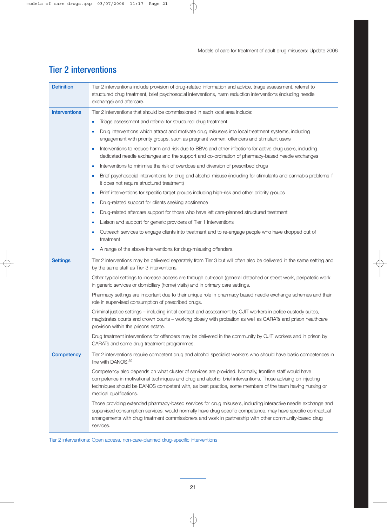| <b>Interventions</b><br>Tier 2 interventions that should be commissioned in each local area include:<br>Triage assessment and referral for structured drug treatment<br>$\bullet$<br>Drug interventions which attract and motivate drug misusers into local treatment systems, including<br>engagement with priority groups, such as pregnant women, offenders and stimulant users<br>Interventions to reduce harm and risk due to BBVs and other infections for active drug users, including<br>$\bullet$<br>dedicated needle exchanges and the support and co-ordination of pharmacy-based needle exchanges<br>Interventions to minimise the risk of overdose and diversion of prescribed drugs<br>$\bullet$<br>Brief psychosocial interventions for drug and alcohol misuse (including for stimulants and cannabis problems if<br>$\bullet$<br>it does not require structured treatment)<br>Brief interventions for specific target groups including high-risk and other priority groups<br>۰<br>Drug-related support for clients seeking abstinence<br>$\bullet$ |  |
|----------------------------------------------------------------------------------------------------------------------------------------------------------------------------------------------------------------------------------------------------------------------------------------------------------------------------------------------------------------------------------------------------------------------------------------------------------------------------------------------------------------------------------------------------------------------------------------------------------------------------------------------------------------------------------------------------------------------------------------------------------------------------------------------------------------------------------------------------------------------------------------------------------------------------------------------------------------------------------------------------------------------------------------------------------------------|--|
|                                                                                                                                                                                                                                                                                                                                                                                                                                                                                                                                                                                                                                                                                                                                                                                                                                                                                                                                                                                                                                                                      |  |
|                                                                                                                                                                                                                                                                                                                                                                                                                                                                                                                                                                                                                                                                                                                                                                                                                                                                                                                                                                                                                                                                      |  |
|                                                                                                                                                                                                                                                                                                                                                                                                                                                                                                                                                                                                                                                                                                                                                                                                                                                                                                                                                                                                                                                                      |  |
|                                                                                                                                                                                                                                                                                                                                                                                                                                                                                                                                                                                                                                                                                                                                                                                                                                                                                                                                                                                                                                                                      |  |
|                                                                                                                                                                                                                                                                                                                                                                                                                                                                                                                                                                                                                                                                                                                                                                                                                                                                                                                                                                                                                                                                      |  |
|                                                                                                                                                                                                                                                                                                                                                                                                                                                                                                                                                                                                                                                                                                                                                                                                                                                                                                                                                                                                                                                                      |  |
|                                                                                                                                                                                                                                                                                                                                                                                                                                                                                                                                                                                                                                                                                                                                                                                                                                                                                                                                                                                                                                                                      |  |
|                                                                                                                                                                                                                                                                                                                                                                                                                                                                                                                                                                                                                                                                                                                                                                                                                                                                                                                                                                                                                                                                      |  |
| Drug-related aftercare support for those who have left care-planned structured treatment<br>$\bullet$                                                                                                                                                                                                                                                                                                                                                                                                                                                                                                                                                                                                                                                                                                                                                                                                                                                                                                                                                                |  |
| Liaison and support for generic providers of Tier 1 interventions                                                                                                                                                                                                                                                                                                                                                                                                                                                                                                                                                                                                                                                                                                                                                                                                                                                                                                                                                                                                    |  |
| Outreach services to engage clients into treatment and to re-engage people who have dropped out of<br>treatment                                                                                                                                                                                                                                                                                                                                                                                                                                                                                                                                                                                                                                                                                                                                                                                                                                                                                                                                                      |  |
| A range of the above interventions for drug-misusing offenders.                                                                                                                                                                                                                                                                                                                                                                                                                                                                                                                                                                                                                                                                                                                                                                                                                                                                                                                                                                                                      |  |
| Tier 2 interventions may be delivered separately from Tier 3 but will often also be delivered in the same setting and<br><b>Settings</b><br>by the same staff as Tier 3 interventions.                                                                                                                                                                                                                                                                                                                                                                                                                                                                                                                                                                                                                                                                                                                                                                                                                                                                               |  |
| Other typical settings to increase access are through outreach (general detached or street work, peripatetic work<br>in generic services or domiciliary (home) visits) and in primary care settings.                                                                                                                                                                                                                                                                                                                                                                                                                                                                                                                                                                                                                                                                                                                                                                                                                                                                 |  |
| Pharmacy settings are important due to their unique role in pharmacy based needle exchange schemes and their<br>role in supervised consumption of prescribed drugs.                                                                                                                                                                                                                                                                                                                                                                                                                                                                                                                                                                                                                                                                                                                                                                                                                                                                                                  |  |
| Criminal justice settings - including initial contact and assessment by CJIT workers in police custody suites,<br>magistrates courts and crown courts - working closely with probation as well as CARATs and prison healthcare<br>provision within the prisons estate.                                                                                                                                                                                                                                                                                                                                                                                                                                                                                                                                                                                                                                                                                                                                                                                               |  |
| Drug treatment interventions for offenders may be delivered in the community by CJIT workers and in prison by<br>CARATs and some drug treatment programmes.                                                                                                                                                                                                                                                                                                                                                                                                                                                                                                                                                                                                                                                                                                                                                                                                                                                                                                          |  |
| Tier 2 interventions require competent drug and alcohol specialist workers who should have basic competences in<br>Competency<br>line with DANOS. <sup>39</sup>                                                                                                                                                                                                                                                                                                                                                                                                                                                                                                                                                                                                                                                                                                                                                                                                                                                                                                      |  |
| Competency also depends on what cluster of services are provided. Normally, frontline staff would have<br>competence in motivational techniques and drug and alcohol brief interventions. Those advising on injecting<br>techniques should be DANOS competent with, as best practice, some members of the team having nursing or<br>medical qualifications.                                                                                                                                                                                                                                                                                                                                                                                                                                                                                                                                                                                                                                                                                                          |  |
| Those providing extended pharmacy-based services for drug misusers, including interactive needle exchange and<br>supervised consumption services, would normally have drug specific competence, may have specific contractual<br>arrangements with drug treatment commissioners and work in partnership with other community-based drug<br>services.                                                                                                                                                                                                                                                                                                                                                                                                                                                                                                                                                                                                                                                                                                                 |  |

## Tier 2 interventions

Tier 2 interventions: Open access, non-care-planned drug-specific interventions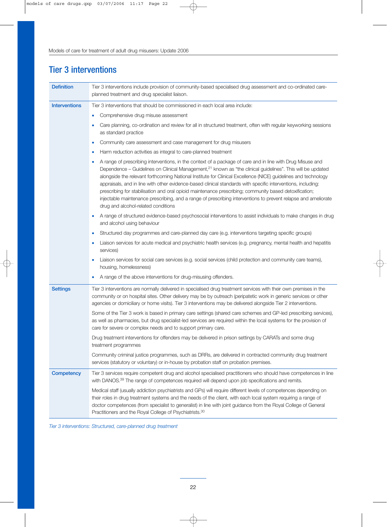## Tier 3 interventions

| <b>Definition</b>    | Tier 3 interventions include provision of community-based specialised drug assessment and co-ordinated care-<br>planned treatment and drug specialist liaison.                                                                                                                                                                                                                                                                                                                                                                                                                                                                                                                                                                                         |
|----------------------|--------------------------------------------------------------------------------------------------------------------------------------------------------------------------------------------------------------------------------------------------------------------------------------------------------------------------------------------------------------------------------------------------------------------------------------------------------------------------------------------------------------------------------------------------------------------------------------------------------------------------------------------------------------------------------------------------------------------------------------------------------|
| <b>Interventions</b> | Tier 3 interventions that should be commissioned in each local area include:                                                                                                                                                                                                                                                                                                                                                                                                                                                                                                                                                                                                                                                                           |
|                      | Comprehensive drug misuse assessment<br>$\bullet$                                                                                                                                                                                                                                                                                                                                                                                                                                                                                                                                                                                                                                                                                                      |
|                      | Care planning, co-ordination and review for all in structured treatment, often with regular keyworking sessions<br>as standard practice                                                                                                                                                                                                                                                                                                                                                                                                                                                                                                                                                                                                                |
|                      | Community care assessment and case management for drug misusers<br>$\bullet$                                                                                                                                                                                                                                                                                                                                                                                                                                                                                                                                                                                                                                                                           |
|                      | Harm reduction activities as integral to care-planned treatment<br>$\bullet$                                                                                                                                                                                                                                                                                                                                                                                                                                                                                                                                                                                                                                                                           |
|                      | A range of prescribing interventions, in the context of a package of care and in line with Drug Misuse and<br>$\bullet$<br>Dependence – Guidelines on Clinical Management, <sup>21</sup> known as "the clinical guidelines". This will be updated<br>alongside the relevant forthcoming National Institute for Clinical Excellence (NICE) guidelines and technology<br>appraisals, and in line with other evidence-based clinical standards with specific interventions, including:<br>prescribing for stabilisation and oral opioid maintenance prescribing; community based detoxification;<br>injectable maintenance prescribing, and a range of prescribing interventions to prevent relapse and ameliorate<br>drug and alcohol-related conditions |
|                      | A range of structured evidence-based psychosocial interventions to assist individuals to make changes in drug<br>and alcohol using behaviour                                                                                                                                                                                                                                                                                                                                                                                                                                                                                                                                                                                                           |
|                      | Structured day programmes and care-planned day care (e.g. interventions targeting specific groups)<br>$\bullet$                                                                                                                                                                                                                                                                                                                                                                                                                                                                                                                                                                                                                                        |
|                      | Liaison services for acute medical and psychiatric health services (e.g. pregnancy, mental health and hepatitis<br>services)                                                                                                                                                                                                                                                                                                                                                                                                                                                                                                                                                                                                                           |
|                      | Liaison services for social care services (e.g. social services (child protection and community care teams),<br>housing, homelessness)                                                                                                                                                                                                                                                                                                                                                                                                                                                                                                                                                                                                                 |
|                      | A range of the above interventions for drug-misusing offenders.                                                                                                                                                                                                                                                                                                                                                                                                                                                                                                                                                                                                                                                                                        |
| <b>Settings</b>      | Tier 3 interventions are normally delivered in specialised drug treatment services with their own premises in the<br>community or on hospital sites. Other delivery may be by outreach (peripatetic work in generic services or other<br>agencies or domiciliary or home visits). Tier 3 interventions may be delivered alongside Tier 2 interventions.                                                                                                                                                                                                                                                                                                                                                                                                |
|                      | Some of the Tier 3 work is based in primary care settings (shared care schemes and GP-led prescribing services),<br>as well as pharmacies, but drug specialist-led services are required within the local systems for the provision of<br>care for severe or complex needs and to support primary care.                                                                                                                                                                                                                                                                                                                                                                                                                                                |
|                      | Drug treatment interventions for offenders may be delivered in prison settings by CARATs and some drug<br>treatment programmes                                                                                                                                                                                                                                                                                                                                                                                                                                                                                                                                                                                                                         |
|                      | Community criminal justice programmes, such as DRRs, are delivered in contracted community drug treatment<br>services (statutory or voluntary) or in-house by probation staff on probation premises.                                                                                                                                                                                                                                                                                                                                                                                                                                                                                                                                                   |
| Competency           | Tier 3 services require competent drug and alcohol specialised practitioners who should have competences in line<br>with DANOS. <sup>39</sup> The range of competences required will depend upon job specifications and remits.                                                                                                                                                                                                                                                                                                                                                                                                                                                                                                                        |
|                      | Medical staff (usually addiction psychiatrists and GPs) will require different levels of competences depending on<br>their roles in drug treatment systems and the needs of the client, with each local system requiring a range of<br>doctor competences (from specialist to generalist) in line with joint guidance from the Royal College of General<br>Practitioners and the Royal College of Psychiatrists. <sup>30</sup>                                                                                                                                                                                                                                                                                                                         |

*Tier 3 interventions: Structured, care-planned drug treatment*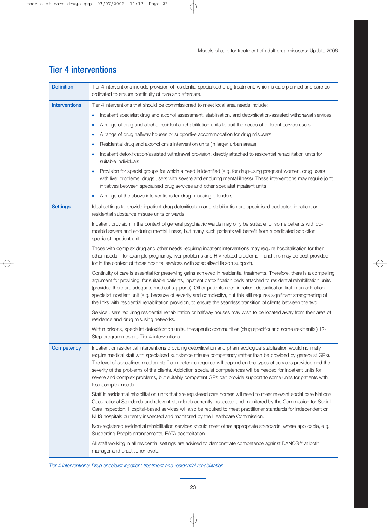## Definition Tier 4 interventions include provision of residential specialised drug treatment, which is care planned and care coordinated to ensure continuity of care and aftercare. Interventions Tier 4 interventions that should be commissioned to meet local area needs include: • Inpatient specialist drug and alcohol assessment, stabilisation, and detoxification/assisted withdrawal services • A range of drug and alcohol residential rehabilitation units to suit the needs of different service users • A range of drug halfway houses or supportive accommodation for drug misusers • Residential drug and alcohol crisis intervention units (in larger urban areas) • Inpatient detoxification/assisted withdrawal provision, directly attached to residential rehabilitation units for suitable individuals • Provision for special groups for which a need is identified (e.g. for drug-using pregnant women, drug users with liver problems, drugs users with severe and enduring mental illness). These interventions may require joint initiatives between specialised drug services and other specialist inpatient units A range of the above interventions for drug-misusing offenders. Settings Ideal settings to provide inpatient drug detoxification and stabilisation are specialised dedicated inpatient or residential substance misuse units or wards. Inpatient provision in the context of general psychiatric wards may only be suitable for some patients with comorbid severe and enduring mental illness, but many such patients will benefit from a dedicated addiction specialist inpatient unit. Those with complex drug and other needs requiring inpatient interventions may require hospitalisation for their other needs – for example pregnancy, liver problems and HIV-related problems – and this may be best provided for in the context of those hospital services (with specialised liaison support). Continuity of care is essential for preserving gains achieved in residential treatments. Therefore, there is a compelling argument for providing, for suitable patients, inpatient detoxification beds attached to residential rehabilitation units (provided there are adequate medical supports). Other patients need inpatient detoxification first in an addiction specialist inpatient unit (e.g. because of severity and complexity), but this still requires significant strengthening of the links with residential rehabilitation provision, to ensure the seamless transition of clients between the two. Service users requiring residential rehabilitation or halfway houses may wish to be located away from their area of residence and drug misusing networks. Within prisons, specialist detoxification units, therapeutic communities (drug specific) and some (residential) 12- Step programmes are Tier 4 interventions. Competency Inpatient or residential interventions providing detoxification and pharmacological stabilisation would normally require medical staff with specialised substance misuse competency (rather than be provided by generalist GPs). The level of specialised medical staff competence required will depend on the types of services provided and the severity of the problems of the clients. Addiction specialist competences will be needed for inpatient units for severe and complex problems, but suitably competent GPs can provide support to some units for patients with less complex needs. Staff in residential rehabilitation units that are registered care homes will need to meet relevant social care National Occupational Standards and relevant standards currently inspected and monitored by the Commission for Social Care Inspection. Hospital-based services will also be required to meet practitioner standards for independent or NHS hospitals currently inspected and monitored by the Healthcare Commission. Non-registered residential rehabilitation services should meet other appropriate standards, where applicable, e.g. Supporting People arrangements, EATA accreditation. All staff working in all residential settings are advised to demonstrate competence against DANOS<sup>39</sup> at both manager and practitioner levels.

## Tier 4 interventions

*Tier 4 interventions: Drug specialist inpatient treatment and residential rehabilitation*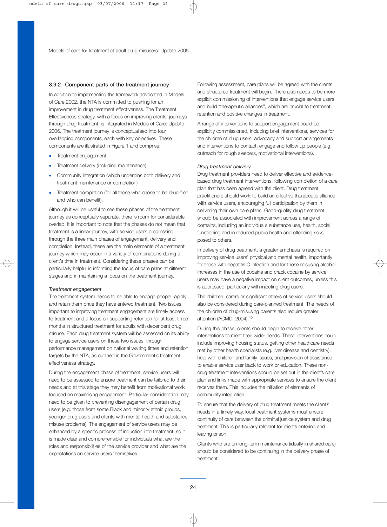#### 3.9.2 Component parts of the treatment journey

In addition to implementing the framework advocated in Models of Care 2002, the NTA is committed to pushing for an improvement in drug treatment effectiveness. The Treatment Effectiveness strategy, with a focus on improving clients' journeys through drug treatment, is integrated in Models of Care: Update 2006. The treatment journey is conceptualised into four overlapping components, each with key objectives. These components are illustrated in Figure 1 and comprise:

- Treatment engagement
- Treatment delivery (including maintenance)
- Community integration (which underpins both delivery and treatment maintenance or completion)
- Treatment completion (for all those who chose to be drug-free and who can benefit).

Although it will be useful to see these phases of the treatment journey as conceptually separate, there is room for considerable overlap. It is important to note that the phases do not mean that treatment is a linear journey, with service users progressing through the three main phases of engagement, delivery and completion. Instead, these are the main elements of a treatment journey which may occur in a variety of combinations during a client's time in treatment. Considering these phases can be particularly helpful in informing the focus of care plans at different stages and in maintaining a focus on the treatment journey.

#### *Treatment engagement*

The treatment system needs to be able to engage people rapidly and retain them once they have entered treatment. Two issues important to improving treatment engagement are timely access to treatment and a focus on supporting retention for at least three months in structured treatment for adults with dependent drug misuse. Each drug treatment system will be assessed on its ability to engage service users on these two issues, through performance management on national waiting times and retention targets by the NTA, as outlined in the Government's treatment effectiveness strategy.

During the engagement phase of treatment, service users will need to be assessed to ensure treatment can be tailored to their needs and at this stage they may benefit from motivational work focused on maximising engagement. Particular consideration may need to be given to preventing disengagement of certain drug users (e.g. those from some Black and minority ethnic groups, younger drug users and clients with mental health and substance misuse problems). The engagement of service users may be enhanced by a specific process of induction into treatment, so it is made clear and comprehensible for individuals what are the roles and responsibilities of the service provider and what are the expectations on service users themselves.

Following assessment, care plans will be agreed with the clients and structured treatment will begin. There also needs to be more explicit commissioning of interventions that engage service users and build "therapeutic alliances", which are crucial to treatment retention and positive changes in treatment.

A range of interventions to support engagement could be explicitly commissioned, including brief interventions, services for the children of drug users, advocacy and support arrangements and interventions to contact, engage and follow up people (e.g. outreach for rough sleepers, motivational interventions).

#### *Drug treatment delivery*

Drug treatment providers need to deliver effective and evidencebased drug treatment interventions, following completion of a care plan that has been agreed with the client. Drug treatment practitioners should work to build an effective therapeutic alliance with service users, encouraging full participation by them in delivering their own care plans. Good-quality drug treatment should be associated with improvement across a range of domains, including an individual's substance use, health, social functioning and in reduced public health and offending risks posed to others.

In delivery of drug treatment, a greater emphasis is required on improving service users' physical and mental health, importantly for those with hepatitis C infection and for those misusing alcohol. Increases in the use of cocaine and crack cocaine by service users may have a negative impact on client outcomes, unless this is addressed, particularly with injecting drug users.

The children, carers or significant others of service users should also be considered during care-planned treatment. The needs of the children of drug-misusing parents also require greater attention (ACMD, 2004).<sup>40</sup>

During this phase, clients should begin to receive other interventions to meet their wider needs. These interventions could include improving housing status, getting other healthcare needs met by other health specialists (e.g. liver disease and dentistry), help with children and family issues, and provision of assistance to enable service user back to work or education. These nondrug treatment interventions should be set out in the client's care plan and links made with appropriate services to ensure the client receives them. This includes the initiation of elements of community integration.

To ensure that the delivery of drug treatment meets the client's needs in a timely way, local treatment systems must ensure continuity of care between the criminal justice system and drug treatment. This is particularly relevant for clients entering and leaving prison.

Clients who are on long-term maintenance (ideally in shared care) should be considered to be continuing in the delivery phase of treatment.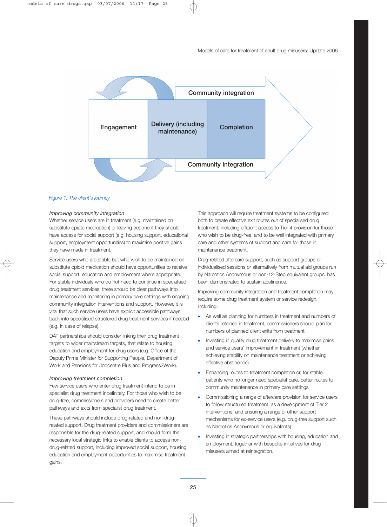

#### *Figure 1: The client's journey*

#### *Improving community integration*

Whether service users are in treatment (e.g. maintained on substitute opiate medication) or leaving treatment they should have access for social support (e.g. housing support, educational support, employment opportunities) to maximise positive gains they have made in treatment.

Service users who are stable but who wish to be maintained on substitute opioid medication should have opportunities to receive social support, education and employment where appropriate. For stable individuals who do not need to continue in specialised drug treatment services, there should be clear pathways into maintenance and monitoring in primary care settings with ongoing community integration interventions and support. However, it is vital that such service users have explicit accessible pathways back into specialised structured drug treatment services if needed (e.g. in case of relapse).

DAT partnerships should consider linking their drug treatment targets to wider mainstream targets, that relate to housing, education and employment for drug users (e.g. Office of the Deputy Prime Minister for Supporting People, Department of Work and Pensions for Jobcentre Plus and Progress2Work).

#### *Improving treatment completion*

Few service users who enter drug treatment intend to be in specialist drug treatment indefinitely. For those who wish to be drug-free, commissioners and providers need to create better pathways and exits from specialist drug treatment.

These pathways should include drug-related and non-drugrelated support. Drug treatment providers and commissioners are responsible for the drug-related support, and should form the necessary local strategic links to enable clients to access nondrug-related support, including improved social support, housing, education and employment opportunities to maximise treatment gains.

This approach will require treatment systems to be configured both to create effective exit routes out of specialised drug treatment, including efficient access to Tier 4 provision for those who wish to be drug-free, and to be well integrated with primary care and other systems of support and care for those in maintenance treatment.

Drug-related aftercare support, such as support groups or individualised sessions or alternatively from mutual aid groups run by Narcotics Anonymous or non-12-Step equivalent groups, has been demonstrated to sustain abstinence.

Improving community integration and treatment completion may require some drug treatment system or service redesign, including:

- As well as planning for numbers in treatment and numbers of clients retained in treatment, commissioners should plan for numbers of planned client exits from treatment
- Investing in quality drug treatment delivery to maximise gains and service users' improvement in treatment (whether achieving stability on maintenance treatment or achieving effective abstinence)
- Enhancing routes to treatment completion or, for stable patients who no longer need specialist care, better routes to community maintenance in primary care settings
- Commissioning a range of aftercare provision for service users to follow structured treatment, as a development of Tier 2 interventions, and ensuring a range of other support mechanisms for ex-service users (e.g. drug-free support such as Narcotics Anonymous or equivalents)
- Investing in strategic partnerships with housing, education and employment, together with bespoke initiatives for drug misusers aimed at reintegration.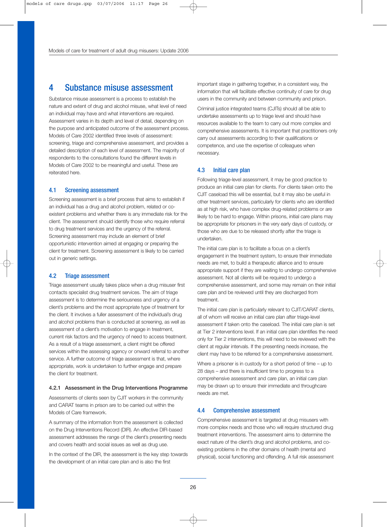## 4 Substance misuse assessment

Substance misuse assessment is a process to establish the nature and extent of drug and alcohol misuse, what level of need an individual may have and what interventions are required. Assessment varies in its depth and level of detail, depending on the purpose and anticipated outcome of the assessment process. Models of Care 2002 identified three levels of assessment: screening, triage and comprehensive assessment, and provides a detailed description of each level of assessment. The majority of respondents to the consultations found the different levels in Models of Care 2002 to be meaningful and useful. These are reiterated here.

## 4.1 Screening assessment

Screening assessment is a brief process that aims to establish if an individual has a drug and alcohol problem, related or coexistent problems and whether there is any immediate risk for the client. The assessment should identify those who require referral to drug treatment services and the urgency of the referral. Screening assessment may include an element of brief opportunistic intervention aimed at engaging or preparing the client for treatment. Screening assessment is likely to be carried out in generic settings.

## 4.2 Triage assessment

Triage assessment usually takes place when a drug misuser first contacts specialist drug treatment services. The aim of triage assessment is to determine the seriousness and urgency of a client's problems and the most appropriate type of treatment for the client. It involves a fuller assessment of the individual's drug and alcohol problems than is conducted at screening, as well as assessment of a client's motivation to engage in treatment, current risk factors and the urgency of need to access treatment. As a result of a triage assessment, a client might be offered services within the assessing agency or onward referral to another service. A further outcome of triage assessment is that, where appropriate, work is undertaken to further engage and prepare the client for treatment.

### 4.2.1 Assessment in the Drug Interventions Programme

Assessments of clients seen by CJIT workers in the community and CARAT teams in prison are to be carried out within the Models of Care framework.

A summary of the information from the assessment is collected on the Drug Interventions Record (DIR). An effective DIR-based assessment addresses the range of the client's presenting needs and covers health and social issues as well as drug use.

In the context of the DIR, the assessment is the key step towards the development of an initial care plan and is also the first

important stage in gathering together, in a consistent way, the information that will facilitate effective continuity of care for drug users in the community and between community and prison.

Criminal justice integrated teams (CJITs) should all be able to undertake assessments up to triage level and should have resources available to the team to carry out more complex and comprehensive assessments. It is important that practitioners only carry out assessments according to their qualifications or competence, and use the expertise of colleagues when necessary.

## 4.3 Initial care plan

Following triage-level assessment, it may be good practice to produce an initial care plan for clients. For clients taken onto the CJIT caseload this will be essential, but it may also be useful in other treatment services, particularly for clients who are identified as at high risk, who have complex drug-related problems or are likely to be hard to engage. Within prisons, initial care plans may be appropriate for prisoners in the very early days of custody, or those who are due to be released shortly after the triage is undertaken.

The initial care plan is to facilitate a focus on a client's engagement in the treatment system, to ensure their immediate needs are met, to build a therapeutic alliance and to ensure appropriate support if they are waiting to undergo comprehensive assessment. Not all clients will be required to undergo a comprehensive assessment, and some may remain on their initial care plan and be reviewed until they are discharged from treatment.

The initial care plan is particularly relevant to CJIT/CARAT clients, all of whom will receive an initial care plan after triage-level assessment if taken onto the caseload. The initial care plan is set at Tier 2 interventions level. If an initial care plan identifies the need only for Tier 2 interventions, this will need to be reviewed with the client at regular intervals. If the presenting needs increase, the client may have to be referred for a comprehensive assessment.

Where a prisoner is in custody for a short period of time – up to 28 days – and there is insufficient time to progress to a comprehensive assessment and care plan, an initial care plan may be drawn up to ensure their immediate and throughcare needs are met.

### 4.4 Comprehensive assessment

Comprehensive assessment is targeted at drug misusers with more complex needs and those who will require structured drug treatment interventions. The assessment aims to determine the exact nature of the client's drug and alcohol problems, and coexisting problems in the other domains of health (mental and physical), social functioning and offending. A full risk assessment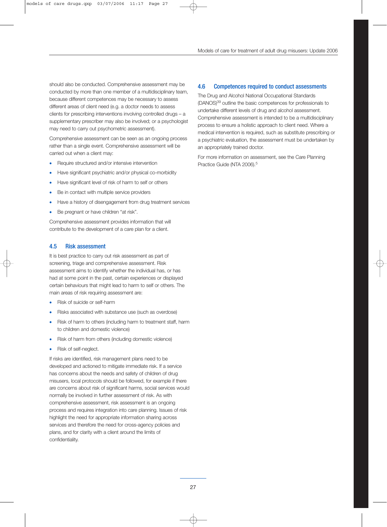should also be conducted. Comprehensive assessment may be conducted by more than one member of a multidisciplinary team, because different competences may be necessary to assess different areas of client need (e.g. a doctor needs to assess clients for prescribing interventions involving controlled drugs – a supplementary prescriber may also be involved; or a psychologist may need to carry out psychometric assessment).

Comprehensive assessment can be seen as an ongoing process rather than a single event. Comprehensive assessment will be carried out when a client may:

- Require structured and/or intensive intervention
- Have significant psychiatric and/or physical co-morbidity
- Have significant level of risk of harm to self or others
- Be in contact with multiple service providers
- Have a history of disengagement from drug treatment services
- Be pregnant or have children "at risk".

Comprehensive assessment provides information that will contribute to the development of a care plan for a client.

### 4.5 Risk assessment

It is best practice to carry out risk assessment as part of screening, triage and comprehensive assessment. Risk assessment aims to identify whether the individual has, or has had at some point in the past, certain experiences or displayed certain behaviours that might lead to harm to self or others. The main areas of risk requiring assessment are:

- Risk of suicide or self-harm
- Risks associated with substance use (such as overdose)
- Risk of harm to others (including harm to treatment staff, harm to children and domestic violence)
- Risk of harm from others (including domestic violence)
- Risk of self-neglect.

If risks are identified, risk management plans need to be developed and actioned to mitigate immediate risk. If a service has concerns about the needs and safety of children of drug misusers, local protocols should be followed, for example if there are concerns about risk of significant harms, social services would normally be involved in further assessment of risk. As with comprehensive assessment, risk assessment is an ongoing process and requires integration into care planning. Issues of risk highlight the need for appropriate information sharing across services and therefore the need for cross-agency policies and plans, and for clarity with a client around the limits of confidentiality.

#### 4.6 Competences required to conduct assessments

The Drug and Alcohol National Occupational Standards (DANOS)39 outline the basic competences for professionals to undertake different levels of drug and alcohol assessment. Comprehensive assessment is intended to be a multidisciplinary process to ensure a holistic approach to client need. Where a medical intervention is required, such as substitute prescribing or a psychiatric evaluation, the assessment must be undertaken by an appropriately trained doctor.

For more information on assessment, see the Care Planning Practice Guide (NTA 2006).<sup>5</sup>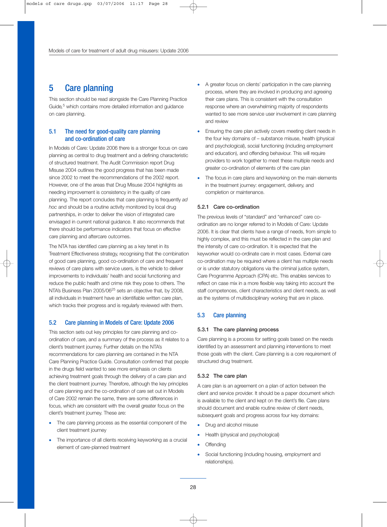## 5 Care planning

This section should be read alongside the Care Planning Practice Guide*,* <sup>5</sup> which contains more detailed information and guidance on care planning.

## 5.1 The need for good-quality care planning and co-ordination of care

In Models of Care: Update 2006 there is a stronger focus on care planning as central to drug treatment and a defining characteristic of structured treatment. The Audit Commission report Drug Misuse 2004 outlines the good progress that has been made since 2002 to meet the recommendations of the 2002 report. However, one of the areas that Drug Misuse 2004 highlights as needing improvement is consistency in the quality of care planning. The report concludes that care planning is frequently *ad hoc* and should be a routine activity monitored by local drug partnerships, in order to deliver the vision of integrated care envisaged in current national guidance. It also recommends that there should be performance indicators that focus on effective care planning and aftercare outcomes.

The NTA has identified care planning as a key tenet in its Treatment Effectiveness strategy, recognising that the combination of good care planning, good co-ordination of care and frequent reviews of care plans with service users, is the vehicle to deliver improvements to individuals' health and social functioning and reduce the public health and crime risk they pose to others. The NTA's Business Plan 2005/06<sup>25</sup> sets an objective that, by 2008, all individuals in treatment have an identifiable written care plan, which tracks their progress and is regularly reviewed with them.

## 5.2 Care planning in Models of Care: Update 2006

This section sets out key principles for care planning and coordination of care, and a summary of the process as it relates to a client's treatment journey. Further details on the NTA's recommendations for care planning are contained in the NTA Care Planning Practice Guide. Consultation confirmed that people in the drugs field wanted to see more emphasis on clients achieving treatment goals through the delivery of a care plan and the client treatment journey. Therefore, although the key principles of care planning and the co-ordination of care set out in Models of Care 2002 remain the same, there are some differences in focus, which are consistent with the overall greater focus on the client's treatment journey. These are:

- The care planning process as the essential component of the client treatment journey
- The importance of all clients receiving keyworking as a crucial element of care-planned treatment
- A greater focus on clients' participation in the care planning process, where they are involved in producing and agreeing their care plans. This is consistent with the consultation response where an overwhelming majority of respondents wanted to see more service user involvement in care planning and review
- Ensuring the care plan actively covers meeting client needs in the four key domains of – substance misuse, health (physical and psychological), social functioning (including employment and education), and offending behaviour. This will require providers to work together to meet these multiple needs and greater co-ordination of elements of the care plan
- The focus in care plans and keyworking on the main elements in the treatment journey: engagement, delivery, and completion or maintenance.

### 5.2.1 Care co-ordination

The previous levels of "standard" and "enhanced" care coordination are no longer referred to in Models of Care: Update 2006. It is clear that clients have a range of needs, from simple to highly complex, and this must be reflected in the care plan and the intensity of care co-ordination. It is expected that the keyworker would co-ordinate care in most cases. External care co-ordination may be required where a client has multiple needs or is under statutory obligations via the criminal justice system, Care Programme Approach (CPA) etc. This enables services to reflect on case mix in a more flexible way taking into account the staff competences, client characteristics and client needs, as well as the systems of multidisciplinary working that are in place.

## 5.3 Care planning

#### 5.3.1 The care planning process

Care planning is a process for setting goals based on the needs identified by an assessment and planning interventions to meet those goals with the client. Care planning is a core requirement of structured drug treatment.

### 5.3.2 The care plan

A care plan is an agreement on a plan of action between the client and service provider. It should be a paper document which is available to the client and kept on the client's file. Care plans should document and enable routine review of client needs, subsequent goals and progress across four key domains:

- Drug and alcohol misuse
- Health (physical and psychological)
- **Offending**
- Social functioning (including housing, employment and relationships).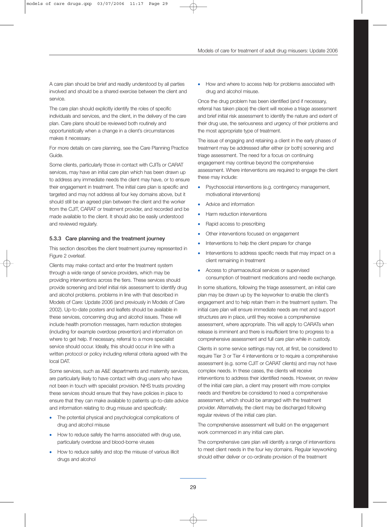A care plan should be brief and readily understood by all parties involved and should be a shared exercise between the client and service.

The care plan should explicitly identify the roles of specific individuals and services, and the client, in the delivery of the care plan. Care plans should be reviewed both routinely and opportunistically when a change in a client's circumstances makes it necessary.

For more details on care planning, see the Care Planning Practice Guide.

Some clients, particularly those in contact with CJITs or CARAT services, may have an initial care plan which has been drawn up to address any immediate needs the client may have, or to ensure their engagement in treatment. The initial care plan is specific and targeted and may not address all four key domains above, but it should still be an agreed plan between the client and the worker from the CJIT, CARAT or treatment provider, and recorded and be made available to the client. It should also be easily understood and reviewed regularly.

## 5.3.3 Care planning and the treatment journey

This section describes the client treatment journey represented in Figure 2 overleaf.

Clients may make contact and enter the treatment system through a wide range of service providers, which may be providing interventions across the tiers. These services should provide screening and brief initial risk assessment to identify drug and alcohol problems. problems in line with that described in Models of Care: Update 2006 (and previously in Models of Care 2002). Up-to-date posters and leaflets should be available in these services, concerning drug and alcohol issues. These will include health promotion messages, harm reduction strategies (including for example overdose prevention) and information on where to get help. If necessary, referral to a more specialist service should occur. Ideally, this should occur in line with a written protocol or policy including referral criteria agreed with the local DAT.

Some services, such as A&E departments and maternity services, are particularly likely to have contact with drug users who have not been in touch with specialist provision. NHS trusts providing these services should ensure that they have policies in place to ensure that they can make available to patients up-to-date advice and information relating to drug misuse and specifically:

- The potential physical and psychological complications of drug and alcohol misuse
- How to reduce safely the harms associated with drug use, particularly overdose and blood-borne viruses
- How to reduce safely and stop the misuse of various illicit drugs and alcohol

• How and where to access help for problems associated with drug and alcohol misuse.

Once the drug problem has been identified (and if necessary, referral has taken place) the client will receive a triage assessment and brief initial risk assessment to identify the nature and extent of their drug use, the seriousness and urgency of their problems and the most appropriate type of treatment.

The issue of engaging and retaining a client in the early phases of treatment may be addressed after either (or both) screening and triage assessment. The need for a focus on continuing engagement may continue beyond the comprehensive assessment. Where interventions are required to engage the client these may include:

- Psychosocial interventions (e.g. contingency management, motivational interventions)
- Advice and information
- Harm reduction interventions
- Rapid access to prescribing
- Other interventions focused on engagement
- Interventions to help the client prepare for change
- Interventions to address specific needs that may impact on a client remaining in treatment
- Access to pharmaceutical services or supervised consumption of treatment medications and needle exchange.

In some situations, following the triage assessment, an initial care plan may be drawn up by the keyworker to enable the client's engagement and to help retain them in the treatment system. The initial care plan will ensure immediate needs are met and support structures are in place, until they receive a comprehensive assessment, where appropriate. This will apply to CARATs when release is imminent and there is insufficient time to progress to a comprehensive assessment and full care plan while in custody.

Clients in some service settings may not, at first, be considered to require Tier 3 or Tier 4 interventions or to require a comprehensive assessment (e.g. some CJIT or CARAT clients) and may not have complex needs. In these cases, the clients will receive interventions to address their identified needs. However, on review of the initial care plan, a client may present with more complex needs and therefore be considered to need a comprehensive assessment, which should be arranged with the treatment provider. Alternatively, the client may be discharged following regular reviews of the initial care plan.

The comprehensive assessment will build on the engagement work commenced in any initial care plan.

The comprehensive care plan will identify a range of interventions to meet client needs in the four key domains. Regular keyworking should either deliver or co-ordinate provision of the treatment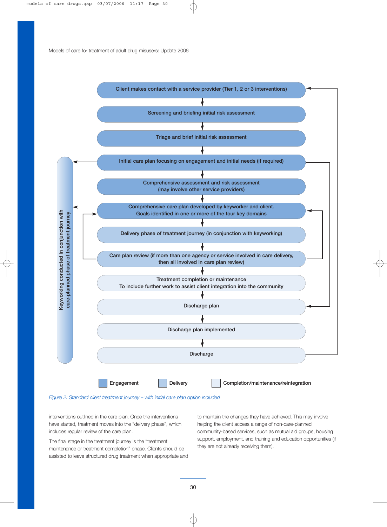

*Figure 2: Standard client treatment journey – with initial care plan option included*

interventions outlined in the care plan. Once the interventions have started, treatment moves into the "delivery phase", which includes regular review of the care plan.

The final stage in the treatment journey is the "treatment maintenance or treatment completion" phase. Clients should be assisted to leave structured drug treatment when appropriate and to maintain the changes they have achieved. This may involve helping the client access a range of non-care-planned community-based services, such as mutual aid groups, housing support, employment, and training and education opportunities (if they are not already receiving them).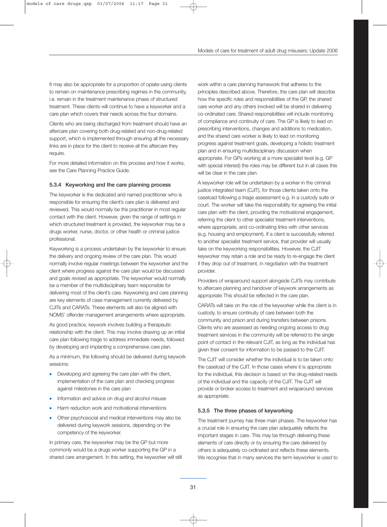It may also be appropriate for a proportion of opiate-using clients to remain on maintenance prescribing regimes in the community, i.e. remain in the treatment maintenance phase of structured treatment. These clients will continue to have a keyworker and a care plan which covers their needs across the four domains.

Clients who are being discharged from treatment should have an aftercare plan covering both drug-related and non-drug-related support, which is implemented through ensuring all the necessary links are in place for the client to receive all the aftercare they require.

For more detailed information on this process and how it works, see the Care Planning Practice Guide.

#### 5.3.4 Keyworking and the care planning process

The keyworker is the dedicated and named practitioner who is responsible for ensuring the client's care plan is delivered and reviewed. This would normally be the practitioner in most regular contact with the client. However, given the range of settings in which structured treatment is provided, the keyworker may be a drugs worker, nurse, doctor, or other health or criminal justice professional.

Keyworking is a process undertaken by the keyworker to ensure the delivery and ongoing review of the care plan. This would normally involve regular meetings between the keyworker and the client where progress against the care plan would be discussed and goals revised as appropriate. The keyworker would normally be a member of the multidisciplinary team responsible for delivering most of the client's care. Keyworking and care planning are key elements of case management currently delivered by CJITs and CARATs. These elements will also be aligned with NOMS' offender management arrangements where appropriate.

As good practice, keywork involves building a therapeutic relationship with the client. This may involve drawing up an initial care plan following triage to address immediate needs, followed by developing and implanting a comprehensive care plan.

As a minimum, the following should be delivered during keywork sessions:

- Developing and agreeing the care plan with the client, implementation of the care plan and checking progress against milestones in the care plan
- Information and advice on drug and alcohol misuse
- Harm reduction work and motivational interventions
- Other psychosocial and medical interventions may also be delivered during keywork sessions, depending on the competency of the keyworker.

In primary care, the keyworker may be the GP but more commonly would be a drugs worker supporting the GP in a shared care arrangement. In this setting, the keyworker will still work within a care planning framework that adheres to the principles described above. Therefore, the care plan will describe how the specific roles and responsibilities of the GP, the shared care worker and any others involved will be shared in delivering co-ordinated care. Shared responsibilities will include monitoring of compliance and continuity of care. The GP is likely to lead on prescribing interventions, changes and additions to medication, and the shared care worker is likely to lead on monitoring progress against treatment goals, developing a holistic treatment plan and in ensuring multidisciplinary discussion when appropriate. For GPs working at a more specialist level (e.g. GP with special interest) the roles may be different but in all cases this will be clear in the care plan.

A keyworker role will be undertaken by a worker in the criminal justice integrated team (CJIT), for those clients taken onto the caseload following a triage assessment e.g. in a custody suite or court. The worker will take the responsibility for agreeing the initial care plan with the client, providing the motivational engagement, referring the client to other specialist treatment interventions, where appropriate, and co-ordinating links with other services (e.g. housing and employment). If a client is successfully referred to another specialist treatment service, that provider will usually take on the keyworking responsibilities. However, the CJIT keyworker may retain a role and be ready to re-engage the client if they drop out of treatment, in negotiation with the treatment provider.

Providers of wraparound support alongside CJITs may contribute to aftercare planning and handover of keywork arrangements as appropriate This should be reflected in the care plan.

CARATs will take on the role of the keyworker while the client is in custody, to ensure continuity of care between both the community and prison and during transfers between prisons. Clients who are assessed as needing ongoing access to drug treatment services in the community will be referred to the single point of contact in the relevant CJIT, as long as the individual has given their consent for information to be passed to the CJIT.

The CJIT will consider whether the individual is to be taken onto the caseload of the CJIT. In those cases where it is appropriate for the individual, this decision is based on the drug-related needs of the individual and the capacity of the CJIT. The CJIT will provide or broker access to treatment and wraparound services as appropriate.

#### 5.3.5 The three phases of keyworking

The treatment journey has three main phases. The keyworker has a crucial role in ensuring the care plan adequately reflects the important stages in care. This may be through delivering these elements of care directly or by ensuring the care delivered by others is adequately co-ordinated and reflects these elements. We recognise that in many services the term keyworker is used to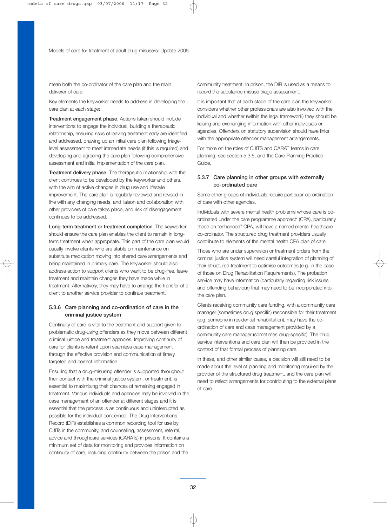mean both the co-ordinator of the care plan and the main deliverer of care.

Key elements the keyworker needs to address in developing the care plan at each stage:

Treatment engagement phase. Actions taken should include interventions to engage the individual, building a therapeutic relationship, ensuring risks of leaving treatment early are identified and addressed, drawing up an initial care plan following triagelevel assessment to meet immediate needs (if this is required) and developing and agreeing the care plan following comprehensive assessment and initial implementation of the care plan.

Treatment delivery phase. The therapeutic relationship with the client continues to be developed by the keyworker and others, with the aim of active changes in drug use and lifestyle improvement. The care plan is regularly reviewed and revised in line with any changing needs, and liaison and collaboration with other providers of care takes place, and risk of disengagement continues to be addressed.

Long-term treatment or treatment completion. The keyworker should ensure the care plan enables the client to remain in longterm treatment when appropriate. This part of the care plan would usually involve clients who are stable on maintenance on substitute medication moving into shared care arrangements and being maintained in primary care. The keyworker should also address action to support clients who want to be drug-free, leave treatment and maintain changes they have made while in treatment. Alternatively, they may have to arrange the transfer of a client to another service provider to continue treatment.

## 5.3.6 Care planning and co-ordination of care in the criminal justice system

Continuity of care is vital to the treatment and support given to problematic drug-using offenders as they move between different criminal justice and treatment agencies. Improving continuity of care for clients is reliant upon seamless case management through the effective provision and communication of timely, targeted and correct information.

Ensuring that a drug-misusing offender is supported throughout their contact with the criminal justice system, or treatment, is essential to maximising their chances of remaining engaged in treatment. Various individuals and agencies may be involved in the case management of an offender at different stages and it is essential that the process is as continuous and uninterrupted as possible for the individual concerned. The Drug Interventions Record (DIR) establishes a common recording tool for use by CJITs in the community, and counselling, assessment, referral, advice and throughcare services (CARATs) in prisons. It contains a minimum set of data for monitoring and provides information on continuity of care, including continuity between the prison and the

community treatment. In prison, the DIR is used as a means to record the substance misuse triage assessment.

It is important that at each stage of the care plan the keyworker considers whether other professionals are also involved with the individual and whether (within the legal framework) they should be liaising and exchanging information with other individuals or agencies. Offenders on statutory supervision should have links with the appropriate offender management arrangements.

For more on the roles of CJITS and CARAT teams in care planning, see section 5.3.6, and the Care Planning Practice Guide.

## 5.3.7 Care planning in other groups with externally co-ordinated care

Some other groups of individuals require particular co-ordination of care with other agencies.

Individuals with severe mental health problems whose care is coordinated under the care programme approach (CPA), particularly those on "enhanced" CPA, will have a named mental healthcare co-ordinator. The structured drug treatment providers usually contribute to elements of the mental health CPA plan of care.

Those who are under supervision or treatment orders from the criminal justice system will need careful integration of planning of their structured treatment to optimise outcomes (e.g. in the case of those on Drug Rehabilitation Requirements). The probation service may have information (particularly regarding risk issues and offending behaviour) that may need to be incorporated into the care plan.

Clients receiving community care funding, with a community care manager (sometimes drug specific) responsible for their treatment (e.g. someone in residential rehabilitation), may have the coordination of care and case management provided by a community care manager (sometimes drug-specific). The drug service interventions and care plan will then be provided in the context of that formal process of planning care.

In these, and other similar cases, a decision will still need to be made about the level of planning and monitoring required by the provider of the structured drug treatment, and the care plan will need to reflect arrangements for contributing to the external plans of care.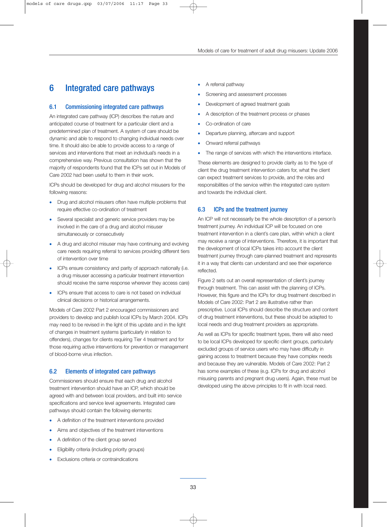## 6 Integrated care pathways

## 6.1 Commissioning integrated care pathways

An integrated care pathway (ICP) describes the nature and anticipated course of treatment for a particular client and a predetermined plan of treatment. A system of care should be dynamic and able to respond to changing individual needs over time. It should also be able to provide access to a range of services and interventions that meet an individual's needs in a comprehensive way. Previous consultation has shown that the majority of respondents found that the ICPs set out in Models of Care 2002 had been useful to them in their work.

ICPs should be developed for drug and alcohol misusers for the following reasons:

- Drug and alcohol misusers often have multiple problems that require effective co-ordination of treatment
- Several specialist and generic service providers may be involved in the care of a drug and alcohol misuser simultaneously or consecutively
- A drug and alcohol misuser may have continuing and evolving care needs requiring referral to services providing different tiers of intervention over time
- ICPs ensure consistency and parity of approach nationally (i.e. a drug misuser accessing a particular treatment intervention should receive the same response wherever they access care)
- ICPs ensure that access to care is not based on individual clinical decisions or historical arrangements.

Models of Care 2002 Part 2 encouraged commissioners and providers to develop and publish local ICPs by March 2004. ICPs may need to be revised in the light of this update and in the light of changes in treatment systems (particularly in relation to offenders), changes for clients requiring Tier 4 treatment and for those requiring active interventions for prevention or management of blood-borne virus infection.

## 6.2 Elements of integrated care pathways

Commissioners should ensure that each drug and alcohol treatment intervention should have an ICP, which should be agreed with and between local providers, and built into service specifications and service level agreements. Integrated care pathways should contain the following elements:

- A definition of the treatment interventions provided
- Aims and objectives of the treatment interventions
- A definition of the client group served
- Eligibility criteria (including priority groups)
- Exclusions criteria or contraindications
- A referral pathway
- Screening and assessment processes
- Development of agreed treatment goals
- A description of the treatment process or phases
- Co-ordination of care
- Departure planning, aftercare and support
- Onward referral pathways
- The range of services with which the interventions interface.

These elements are designed to provide clarity as to the type of client the drug treatment intervention caters for, what the client can expect treatment services to provide, and the roles and responsibilities of the service within the integrated care system and towards the individual client.

## 6.3 ICPs and the treatment journey

An ICP will not necessarily be the whole description of a person's treatment journey. An individual ICP will be focused on one treatment intervention in a client's care plan, within which a client may receive a range of interventions. Therefore, it is important that the development of local ICPs takes into account the client treatment journey through care-planned treatment and represents it in a way that clients can understand and see their experience reflected.

Figure 2 sets out an overall representation of client's journey through treatment. This can assist with the planning of ICPs. However, this figure and the ICPs for drug treatment described in Models of Care 2002: Part 2 are illustrative rather than prescriptive. Local ICPs should describe the structure and content of drug treatment interventions, but these should be adapted to local needs and drug treatment providers as appropriate.

As well as ICPs for specific treatment types, there will also need to be local ICPs developed for specific client groups, particularly excluded groups of service users who may have difficulty in gaining access to treatment because they have complex needs and because they are vulnerable. Models of Care 2002: Part 2 has some examples of these (e.g. ICPs for drug and alcohol misusing parents and pregnant drug users). Again, these must be developed using the above principles to fit in with local need.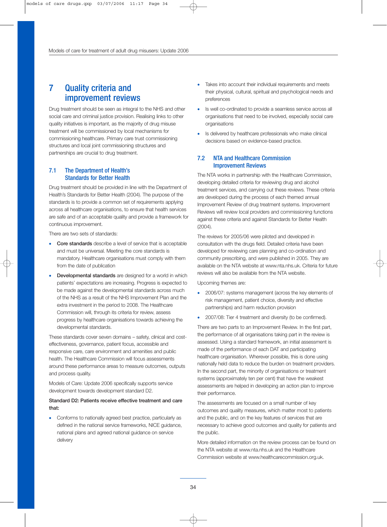## 7 Quality criteria and improvement reviews

Drug treatment should be seen as integral to the NHS and other social care and criminal justice provision. Realising links to other quality initiatives is important, as the majority of drug misuse treatment will be commissioned by local mechanisms for commissioning healthcare. Primary care trust commissioning structures and local joint commissioning structures and partnerships are crucial to drug treatment.

## 7.1 The Department of Health's Standards for Better Health

Drug treatment should be provided in line with the Department of Health's Standards for Better Health (2004). The purpose of the standards is to provide a common set of requirements applying across all healthcare organisations, to ensure that health services are safe and of an acceptable quality and provide a framework for continuous improvement.

There are two sets of standards:

- Core standards describe a level of service that is acceptable and must be universal. Meeting the core standards is mandatory. Healthcare organisations must comply with them from the date of publication
- Developmental standards are designed for a world in which patients' expectations are increasing. Progress is expected to be made against the developmental standards across much of the NHS as a result of the NHS Improvement Plan and the extra investment in the period to 2008. The Healthcare Commission will, through its criteria for review, assess progress by healthcare organisations towards achieving the developmental standards.

These standards cover seven domains – safety, clinical and costeffectiveness, governance, patient focus, accessible and responsive care, care environment and amenities and public health. The Healthcare Commission will focus assessments around these performance areas to measure outcomes, outputs and process quality.

Models of Care: Update 2006 specifically supports service development towards development standard D2.

## Standard D2: Patients receive effective treatment and care that:

• Conforms to nationally agreed best practice, particularly as defined in the national service frameworks, NICE guidance, national plans and agreed national guidance on service delivery

- Takes into account their individual requirements and meets their physical, cultural, spiritual and psychological needs and preferences
- Is well co-ordinated to provide a seamless service across all organisations that need to be involved, especially social care organisations
- Is delivered by healthcare professionals who make clinical decisions based on evidence-based practice.

## 7.2 NTA and Healthcare Commission Improvement Reviews

The NTA works in partnership with the Healthcare Commission, developing detailed criteria for reviewing drug and alcohol treatment services, and carrying out these reviews. These criteria are developed during the process of each themed annual Improvement Review of drug treatment systems. Improvement Reviews will review local providers and commissioning functions against these criteria and against Standards for Better Health (2004).

The reviews for 2005/06 were piloted and developed in consultation with the drugs field. Detailed criteria have been developed for reviewing care planning and co-ordination and community prescribing, and were published in 2005. They are available on the NTA website at www.nta.nhs.uk. Criteria for future reviews will also be available from the NTA website.

Upcoming themes are:

- 2006/07: systems management (across the key elements of risk management, patient choice, diversity and effective partnerships) and harm reduction provision
- 2007/08: Tier 4 treatment and diversity (to be confirmed).

There are two parts to an Improvement Review. In the first part, the performance of all organisations taking part in the review is assessed. Using a standard framework, an initial assessment is made of the performance of each DAT and participating healthcare organisation. Wherever possible, this is done using nationally held data to reduce the burden on treatment providers. In the second part, the minority of organisations or treatment systems (approximately ten per cent) that have the weakest assessments are helped in developing an action plan to improve their performance.

The assessments are focused on a small number of key outcomes and quality measures, which matter most to patients and the public, and on the key features of services that are necessary to achieve good outcomes and quality for patients and the public.

More detailed information on the review process can be found on the NTA website at www.nta.nhs.uk and the Healthcare Commission website at www.healthcarecommission.org.uk.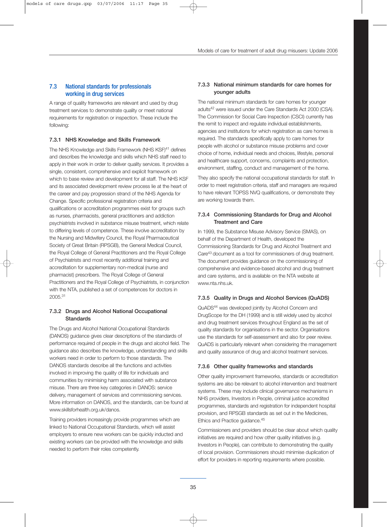## 7.3 National standards for professionals working in drug services

A range of quality frameworks are relevant and used by drug treatment services to demonstrate quality or meet national requirements for registration or inspection. These include the following:

#### 7.3.1 NHS Knowledge and Skills Framework

The NHS Knowledge and Skills Framework (NHS KSF)<sup>41</sup> defines and describes the knowledge and skills which NHS staff need to apply in their work in order to deliver quality services. It provides a single, consistent, comprehensive and explicit framework on which to base review and development for all staff. The NHS KSF and its associated development review process lie at the heart of the career and pay progression strand of the NHS Agenda for Change. Specific professional registration criteria and qualifications or accreditation programmes exist for groups such as nurses, pharmacists, general practitioners and addiction psychiatrists involved in substance misuse treatment, which relate to differing levels of competence. These involve accreditation by the Nursing and Midwifery Council, the Royal Pharmaceutical Society of Great Britain (RPSGB), the General Medical Council, the Royal College of General Practitioners and the Royal College of Psychiatrists and most recently additional training and accreditation for supplementary non-medical (nurse and pharmacist) prescribers. The Royal College of General Practitioners and the Royal College of Psychiatrists, in conjunction with the NTA, published a set of competences for doctors in 2005.31

## 7.3.2 Drugs and Alcohol National Occupational **Standards**

The Drugs and Alcohol National Occupational Standards (DANOS) guidance gives clear descriptions of the standards of performance required of people in the drugs and alcohol field. The guidance also describes the knowledge, understanding and skills workers need in order to perform to those standards. The DANOS standards describe all the functions and activities involved in improving the quality of life for individuals and communities by minimising harm associated with substance misuse. There are three key categories in DANOS: service delivery, management of services and commissioning services. More information on DANOS, and the standards, can be found at www.skillsforhealth.org.uk/danos.

Training providers increasingly provide programmes which are linked to National Occupational Standards, which will assist employers to ensure new workers can be quickly inducted and existing workers can be provided with the knowledge and skills needed to perform their roles competently.

## 7.3.3 National minimum standards for care homes for younger adults

The national minimum standards for care homes for younger adults42 were issued under the Care Standards Act 2000 (CSA). The Commission for Social Care Inspection (CSCI) currently has the remit to inspect and regulate individual establishments, agencies and institutions for which registration as care homes is required. The standards specifically apply to care homes for people with alcohol or substance misuse problems and cover choice of home, individual needs and choices, lifestyle, personal and healthcare support, concerns, complaints and protection, environment, staffing, conduct and management of the home.

They also specify the national occupational standards for staff. In order to meet registration criteria, staff and managers are required to have relevant TOPSS NVQ qualifications, or demonstrate they are working towards them.

### 7.3.4 Commissioning Standards for Drug and Alcohol Treatment and Care

In 1999, the Substance Misuse Advisory Service (SMAS), on behalf of the Department of Health, developed the Commissioning Standards for Drug and Alcohol Treatment and Care43 document as a tool for commissioners of drug treatment. The document provides guidance on the commissioning of comprehensive and evidence-based alcohol and drug treatment and care systems, and is available on the NTA website at www.nta.nhs.uk.

### 7.3.5 Quality in Drugs and Alcohol Services (QuADS)

QuADS44 was developed jointly by Alcohol Concern and DrugScope for the DH (1999) and is still widely used by alcohol and drug treatment services throughout England as the set of quality standards for organisations in the sector. Organisations use the standards for self-assessment and also for peer review. QuADS is particularly relevant when considering the management and quality assurance of drug and alcohol treatment services.

### 7.3.6 Other quality frameworks and standards

Other quality improvement frameworks, standards or accreditation systems are also be relevant to alcohol intervention and treatment systems. These may include clinical governance mechanisms in NHS providers, Investors in People, criminal justice accredited programmes, standards and registration for independent hospital provision, and RPSGB standards as set out in the Medicines, Ethics and Practice guidance.45

Commissioners and providers should be clear about which quality initiatives are required and how other quality initiatives (e.g. Investors in People), can contribute to demonstrating the quality of local provision. Commissioners should minimise duplication of effort for providers in reporting requirements where possible.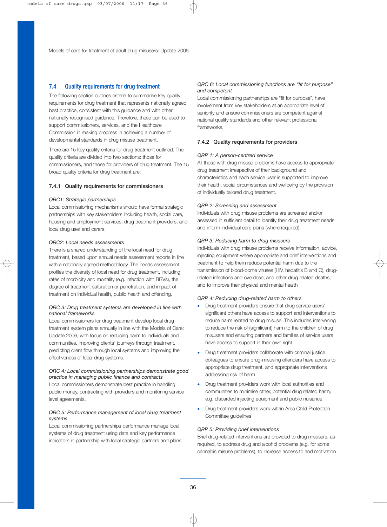## 7.4 Quality requirements for drug treatment

The following section outlines criteria to summarise key quality requirements for drug treatment that represents nationally agreed best practice, consistent with this guidance and with other nationally recognised guidance. Therefore, these can be used to support commissioners, services, and the Healthcare Commission in making progress in achieving a number of developmental standards in drug misuse treatment.

There are 15 key quality criteria for drug treatment outlined. The quality criteria are divided into two sections: those for commissioners, and those for providers of drug treatment. The 15 broad quality criteria for drug treatment are:

#### 7.4.1 Quality requirements for commissioners

#### *QRC1: Strategic partnerships*

Local commissioning mechanisms should have formal strategic partnerships with key stakeholders including health, social care, housing and employment services, drug treatment providers, and local drug user and carers.

#### *QRC2: Local needs assessments*

There is a shared understanding of the local need for drug treatment, based upon annual needs assessment reports in line with a nationally agreed methodology. The needs assessment profiles the diversity of local need for drug treatment, including rates of morbidity and mortality (e.g. infection with BBVs), the degree of treatment saturation or penetration, and impact of treatment on individual health, public health and offending.

#### *QRC 3: Drug treatment systems are developed in line with national frameworks*

Local commissioners for drug treatment develop local drug treatment system plans annually in line with the Models of Care: Update 2006, with focus on reducing harm to individuals and communities, improving clients' journeys through treatment, predicting client flow through local systems and improving the effectiveness of local drug systems.

#### *QRC 4: Local commissioning partnerships demonstrate good practice in managing public finance and contracts*

Local commissioners demonstrate best practice in handling public money, contracting with providers and monitoring service level agreements.

### *QRC 5: Performance management of local drug treatment systems*

Local commissioning partnerships performance manage local systems of drug treatment using data and key performance indicators in partnership with local strategic partners and plans.

#### *QRC 6: Local commissioning functions are "fit for purpose" and competent*

Local commissioning partnerships are "fit for purpose", have involvement from key stakeholders at an appropriate level of seniority and ensure commissioners are competent against national quality standards and other relevant professional frameworks.

#### 7.4.2 Quality requirements for providers

#### *QRP 1: A person-centred service*

All those with drug misuse problems have access to appropriate drug treatment irrespective of their background and characteristics and each service user is supported to improve their health, social circumstances and wellbeing by the provision of individually tailored drug treatment.

#### *QRP 2: Screening and assessment*

Individuals with drug misuse problems are screened and/or assessed in sufficient detail to identify their drug treatment needs and inform individual care plans (where required).

#### *QRP 3: Reducing harm to drug misusers*

Individuals with drug misuse problems receive information, advice, injecting equipment where appropriate and brief interventions and treatment to help them reduce potential harm due to the transmission of blood-borne viruses (HIV, hepatitis B and C), drugrelated infections and overdose, and other drug related deaths, and to improve their physical and mental health

#### *QRP 4: Reducing drug-related harm to others*

- Drug treatment providers ensure that drug service users' significant others have access to support and interventions to reduce harm related to drug misuse. This includes intervening to reduce the risk of (significant) harm to the children of drug misusers and ensuring partners and families of service users have access to support in their own right
- Drug treatment providers collaborate with criminal justice colleagues to ensure drug-misusing offenders have access to appropriate drug treatment, and appropriate interventions addressing risk of harm
- Drug treatment providers work with local authorities and communities to minimise other, potential drug related harm, e.g. discarded injecting equipment and public nuisance
- Drug treatment providers work within Area Child Protection Committee guidelines

#### *QRP 5: Providing brief interventions*

Brief drug-related interventions are provided to drug misusers, as required, to address drug and alcohol problems (e.g. for some cannabis misuse problems), to increase access to and motivation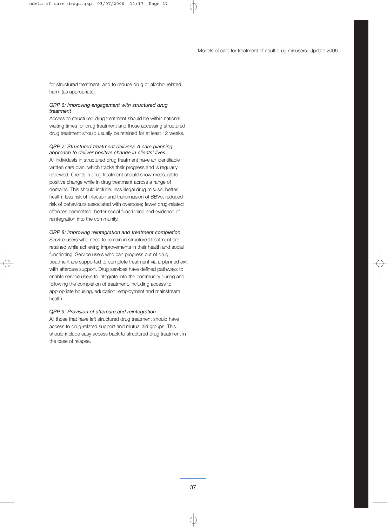for structured treatment, and to reduce drug or alcohol related harm (as appropriate).

#### *QRP 6: Improving engagement with structured drug treatment*

Access to structured drug treatment should be within national waiting times for drug treatment and those accessing structured drug treatment should usually be retained for at least 12 weeks.

*QRP 7: Structured treatment delivery: A care planning approach to deliver positive change in clients' lives*  All individuals in structured drug treatment have an identifiable written care plan, which tracks their progress and is regularly reviewed. Clients in drug treatment should show measurable positive change while in drug treatment across a range of domains. This should include: less illegal drug misuse; better health; less risk of infection and transmission of BBVs, reduced risk of behaviours associated with overdose; fewer drug-related offences committed; better social functioning and evidence of reintegration into the community.

### *QRP 8: Improving reintegration and treatment completion*

Service users who need to remain in structured treatment are retained while achieving improvements in their health and social functioning. Service users who can progress out of drug treatment are supported to complete treatment via a planned exit with aftercare support. Drug services have defined pathways to enable service users to integrate into the community during and following the completion of treatment, including access to appropriate housing, education, employment and mainstream health.

#### *QRP 9: Provision of aftercare and reintegration*

All those that have left structured drug treatment should have access to drug-related support and mutual aid groups. This should include easy access back to structured drug treatment in the case of relapse.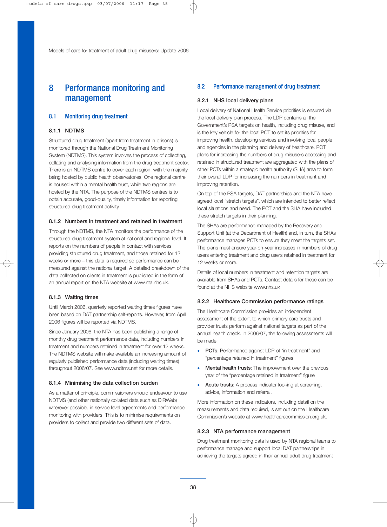## 8 Performance monitoring and management

## 8.1 Monitoring drug treatment

### 8.1.1 NDTMS

Structured drug treatment (apart from treatment in prisons) is monitored through the National Drug Treatment Monitoring System (NDTMS). This system involves the process of collecting, collating and analysing information from the drug treatment sector. There is an NDTMS centre to cover each region, with the majority being hosted by public health observatories. One regional centre is housed within a mental health trust, while two regions are hosted by the NTA. The purpose of the NDTMS centres is to obtain accurate, good-quality, timely information for reporting structured drug treatment activity

## 8.1.2 Numbers in treatment and retained in treatment

Through the NDTMS, the NTA monitors the performance of the structured drug treatment system at national and regional level. It reports on the numbers of people in contact with services providing structured drug treatment, and those retained for 12 weeks or more – this data is required so performance can be measured against the national target. A detailed breakdown of the data collected on clients in treatment is published in the form of an annual report on the NTA website at www.nta.nhs.uk.

#### 8.1.3 Waiting times

Until March 2006, quarterly reported waiting times figures have been based on DAT partnership self-reports. However, from April 2006 figures will be reported via NDTMS.

Since January 2006, the NTA has been publishing a range of monthly drug treatment performance data, including numbers in treatment and numbers retained in treatment for over 12 weeks. The NDTMS website will make available an increasing amount of regularly published performance data (including waiting times) throughout 2006/07. See www.ndtms.net for more details.

#### 8.1.4 Minimising the data collection burden

As a matter of principle, commissioners should endeavour to use NDTMS (and other nationally collated data such as DIRWeb) wherever possible, in service level agreements and performance monitoring with providers. This is to minimise requirements on providers to collect and provide two different sets of data.

## 8.2 Performance management of drug treatment

#### 8.2.1 NHS local delivery plans

Local delivery of National Health Service priorities is ensured via the local delivery plan process. The LDP contains all the Government's PSA targets on health, including drug misuse, and is the key vehicle for the local PCT to set its priorities for improving health, developing services and involving local people and agencies in the planning and delivery of healthcare. PCT plans for increasing the numbers of drug misusers accessing and retained in structured treatment are aggregated with the plans of other PCTs within a strategic health authority (SHA) area to form their overall LDP for increasing the numbers in treatment and improving retention.

On top of the PSA targets, DAT partnerships and the NTA have agreed local "stretch targets", which are intended to better reflect local situations and need. The PCT and the SHA have included these stretch targets in their planning.

The SHAs are performance managed by the Recovery and Support Unit (at the Department of Health) and, in turn, the SHAs performance manages PCTs to ensure they meet the targets set. The plans must ensure year-on-year increases in numbers of drug users entering treatment and drug users retained in treatment for 12 weeks or more.

Details of local numbers in treatment and retention targets are available from SHAs and PCTs. Contact details for these can be found at the NHS website www.nhs.uk

### 8.2.2 Healthcare Commission performance ratings

The Healthcare Commission provides an independent assessment of the extent to which primary care trusts and provider trusts perform against national targets as part of the annual health check. In 2006/07, the following assessments will be made:

- **PCTs:** Performance against LDP of "in treatment" and "percentage retained in treatment" figures
- Mental health trusts: The improvement over the previous year of the "percentage retained in treatment" figure
- Acute trusts: A process indicator looking at screening, advice, information and referral.

More information on these indicators, including detail on the measurements and data required, is set out on the Healthcare Commission's website at www.healthcarecommission.org.uk.

#### 8.2.3 NTA performance management

Drug treatment monitoring data is used by NTA regional teams to performance manage and support local DAT partnerships in achieving the targets agreed in their annual adult drug treatment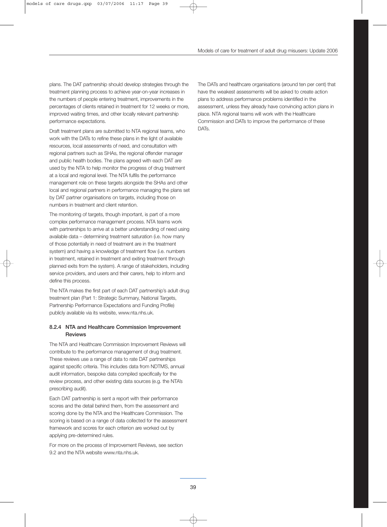plans. The DAT partnership should develop strategies through the treatment planning process to achieve year-on-year increases in the numbers of people entering treatment, improvements in the percentages of clients retained in treatment for 12 weeks or more, improved waiting times, and other locally relevant partnership performance expectations.

Draft treatment plans are submitted to NTA regional teams, who work with the DATs to refine these plans in the light of available resources, local assessments of need, and consultation with regional partners such as SHAs, the regional offender manager and public health bodies. The plans agreed with each DAT are used by the NTA to help monitor the progress of drug treatment at a local and regional level. The NTA fulfils the performance management role on these targets alongside the SHAs and other local and regional partners in performance managing the plans set by DAT partner organisations on targets, including those on numbers in treatment and client retention.

The monitoring of targets, though important, is part of a more complex performance management process. NTA teams work with partnerships to arrive at a better understanding of need using available data – determining treatment saturation (i.e. how many of those potentially in need of treatment are in the treatment system) and having a knowledge of treatment flow (i.e. numbers in treatment, retained in treatment and exiting treatment through planned exits from the system). A range of stakeholders, including service providers, and users and their carers, help to inform and define this process.

The NTA makes the first part of each DAT partnership's adult drug treatment plan (Part 1: Strategic Summary, National Targets, Partnership Performance Expectations and Funding Profile) publicly available via its website, www.nta.nhs.uk.

## 8.2.4 NTA and Healthcare Commission Improvement Reviews

The NTA and Healthcare Commission Improvement Reviews will contribute to the performance management of drug treatment. These reviews use a range of data to rate DAT partnerships against specific criteria. This includes data from NDTMS, annual audit information, bespoke data compiled specifically for the review process, and other existing data sources (e.g. the NTA's prescribing audit).

Each DAT partnership is sent a report with their performance scores and the detail behind them, from the assessment and scoring done by the NTA and the Healthcare Commission. The scoring is based on a range of data collected for the assessment framework and scores for each criterion are worked out by applying pre-determined rules.

For more on the process of Improvement Reviews, see section 9.2 and the NTA website www.nta.nhs.uk

The DATs and healthcare organisations (around ten per cent) that have the weakest assessments will be asked to create action plans to address performance problems identified in the assessment, unless they already have convincing action plans in place. NTA regional teams will work with the Healthcare Commission and DATs to improve the performance of these DAT<sub>S</sub>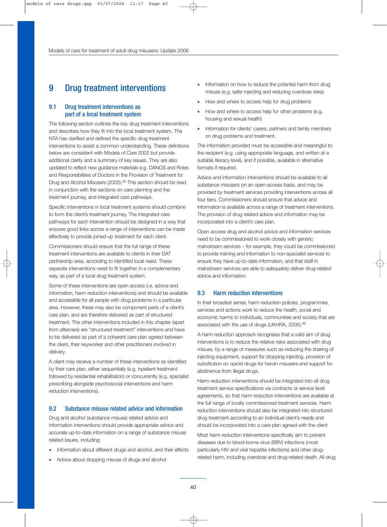## 9 Drug treatment interventions

## 9.1 Drug treatment interventions as part of a local treatment system

The following section outlines the key drug treatment interventions and describes how they fit into the local treatment system. The NTA has clarified and defined the specific drug treatment interventions to assist a common understanding. These definitions below are consistent with Models of Care 2002 but provide additional clarity and a summary of key issues. They are also updated to reflect new guidance materials e.g. DANOS and Roles and Responsibilities of Doctors in the Provision of Treatment for Drug and Alcohol Misusers (2005).<sup>30</sup> This section should be read in conjunction with the sections on care planning and the treatment journey, and integrated care pathways.

Specific interventions in local treatment systems should combine to form the client's treatment journey. The integrated care pathways for each intervention should be designed in a way that ensures good links across a range of interventions can be made effectively to provide joined-up treatment for each client.

Commissioners should ensure that the full range of these treatment interventions are available to clients in their DAT partnership area, according to identified local need. These separate interventions need to fit together in a complementary way, as part of a local drug treatment system.

Some of these interventions are open access (i.e. advice and information, harm reduction interventions) and should be available and accessible for all people with drug problems in a particular area. However, these may also be component parts of a client's care plan, and are therefore delivered as part of structured treatment. The other interventions included in this chapter (apart from aftercare) are "structured treatment" interventions and have to be delivered as part of a coherent care plan agreed between the client, their keyworker and other practitioners involved in delivery.

A client may receive a number of these interventions as identified by their care plan, either sequentially (e.g. inpatient treatment followed by residential rehabilitation) or concurrently (e.g. specialist prescribing alongside psychosocial interventions and harm reduction interventions).

## 9.2 Substance misuse related advice and information

Drug and alcohol (substance misuse) related advice and information interventions should provide appropriate advice and accurate up-to-date information on a range of substance misuse related issues, including:

- Information about different drugs and alcohol, and their effects
- Advice about stopping misuse of drugs and alcohol
- Information on how to reduce the potential harm from drug misuse (e.g. safer injecting and reducing overdose risks)
- How and where to access help for drug problems
- How and where to access help for other problems (e.g. housing and sexual health)
- Information for clients' carers, partners and family members on drug problems and treatment.

The information provided must be accessible and meaningful to the recipient (e.g. using appropriate language, and written at a suitable literacy level), and if possible, available in alternative formats if required.

Advice and information interventions should be available to all substance misusers on an open-access basis, and may be provided by treatment services providing interventions across all four tiers. Commissioners should ensure that advice and information is available across a range of treatment interventions. The provision of drug related advice and information may be incorporated into a client's care plan.

Open access drug and alcohol advice and information services need to be commissioned to work closely with generic mainstream services – for example, they could be commissioned to provide training and information to non-specialist services to ensure they have up-to-date information, and that staff in mainstream services are able to adequately deliver drug-related advice and information.

### 9.3 Harm reduction interventions

In their broadest sense, harm reduction policies, programmes, services and actions work to reduce the health, social and economic harms to individuals, communities and society that are associated with the use of drugs (UKHRA, 2005).<sup>46</sup>

A harm reduction approach recognises that a valid aim of drug interventions is to reduce the relative risks associated with drug misuse, by a range of measures such as reducing the sharing of injecting equipment, support for stopping injecting, provision of substitution on opioid drugs for heroin misusers and support for abstinence from illegal drugs.

Harm reduction interventions should be integrated into all drug treatment service specifications via contracts or service level agreements, so that harm reduction interventions are available at the full range of locally commissioned treatment services. Harm reduction interventions should also be integrated into structured drug treatment according to an individual client's needs and should be incorporated into a care plan agreed with the client.

Most harm reduction interventions specifically aim to prevent diseases due to blood-borne virus (BBV) infections (most particularly HIV and viral hepatitis infections) and other drugrelated harm, including overdose and drug-related death. All drug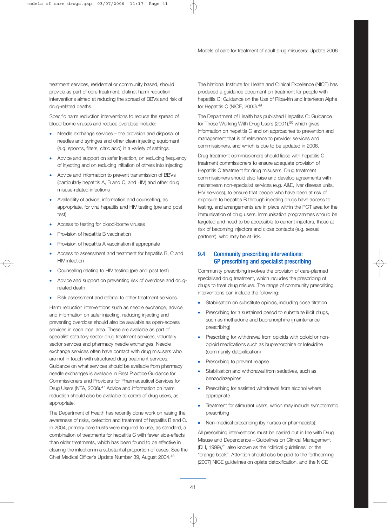treatment services, residential or community based, should provide as part of core treatment, distinct harm reduction interventions aimed at reducing the spread of BBVs and risk of drug-related deaths.

Specific harm reduction interventions to reduce the spread of blood-borne viruses and reduce overdose include:

- Needle exchange services the provision and disposal of needles and syringes and other clean injecting equipment (e.g. spoons, filters, citric acid) in a variety of settings
- Advice and support on safer injection, on reducing frequency of injecting and on reducing initiation of others into injecting
- Advice and information to prevent transmission of BBVs (particularly hepatitis A, B and C, and HIV) and other drug misuse-related infections
- Availability of advice, information and counselling, as appropriate, for viral hepatitis and HIV testing (pre and post test)
- Access to testing for blood-borne viruses
- Provision of hepatitis B vaccination
- Provision of hepatitis A vaccination if appropriate
- Access to assessment and treatment for hepatitis B, C and HIV infection
- Counselling relating to HIV testing (pre and post test)
- Advice and support on preventing risk of overdose and drugrelated death
- Risk assessment and referral to other treatment services.

Harm reduction interventions such as needle exchange, advice and information on safer injecting, reducing injecting and preventing overdose should also be available as open-access services in each local area. These are available as part of specialist statutory sector drug treatment services, voluntary sector services and pharmacy needle exchanges. Needle exchange services often have contact with drug misusers who are not in touch with structured drug treatment services. Guidance on what services should be available from pharmacy needle exchanges is available in Best Practice Guidance for Commissioners and Providers for Pharmaceutical Services for Drug Users (NTA, 2006).<sup>47</sup> Advice and information on harm reduction should also be available to carers of drug users, as appropriate.

The Department of Health has recently done work on raising the awareness of risks, detection and treatment of hepatitis B and C. In 2004, primary care trusts were required to use, as standard, a combination of treatments for hepatitis C with fewer side-effects than older treatments, which has been found to be effective in clearing the infection in a substantial proportion of cases. See the Chief Medical Officer's Update Number 39, August 2004.48

The National Institute for Health and Clinical Excellence (NICE) has produced a guidance document on treatment for people with hepatitis C: Guidance on the Use of Ribavirin and Interferon Alpha for Hepatitis C (NICE, 2000).49

The Department of Health has published Hepatitis C: Guidance for Those Working With Drug Users (2001),<sup>50</sup> which gives information on hepatitis C and on approaches to prevention and management that is of relevance to provider services and commissioners, and which is due to be updated in 2006.

Drug treatment commissioners should liaise with hepatitis C treatment commissioners to ensure adequate provision of Hepatitis C treatment for drug misusers. Drug treatment commissioners should also liaise and develop agreements with mainstream non-specialist services (e.g. A&E, liver disease units, HIV services), to ensure that people who have been at risk of exposure to hepatitis B through injecting drugs have access to testing, and arrangements are in place within the PCT area for the immunisation of drug users. Immunisation programmes should be targeted and need to be accessible to current injectors, those at risk of becoming injectors and close contacts (e.g. sexual partners), who may be at risk.

## 9.4 Community prescribing interventions: GP prescribing and specialist prescribing

Community prescribing involves the provision of care-planned specialised drug treatment, which includes the prescribing of drugs to treat drug misuse. The range of community prescribing interventions can include the following:

- Stabilisation on substitute opioids, including dose titration
- Prescribing for a sustained period to substitute illicit drugs, such as methadone and buprenorphine (maintenance prescribing)
- Prescribing for withdrawal from opioids with opioid or nonopioid medications such as buprenorphine or lofexidine (community detoxification)
- Prescribing to prevent relapse
- Stabilisation and withdrawal from sedatives, such as benzodiazepines
- Prescribing for assisted withdrawal from alcohol where appropriate
- Treatment for stimulant users, which may include symptomatic prescribing
- Non-medical prescribing (by nurses or pharmacists).

All prescribing interventions must be carried out in line with Drug Misuse and Dependence – Guidelines on Clinical Management (DH, 1999),<sup>21</sup> also known as the "clinical guidelines" or the "orange book". Attention should also be paid to the forthcoming (2007) NICE guidelines on opiate detoxification, and the NICE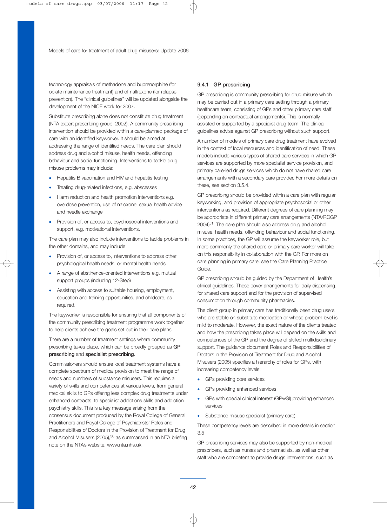technology appraisals of methadone and buprenorphine (for opiate maintenance treatment) and of naltrexone (for relapse prevention). The "clinical guidelines" will be updated alongside the development of the NICE work for 2007.

Substitute prescribing alone does not constitute drug treatment (NTA expert prescribing group, 2002). A community prescribing intervention should be provided within a care-planned package of care with an identified keyworker. It should be aimed at addressing the range of identified needs. The care plan should address drug and alcohol misuse, health needs, offending behaviour and social functioning. Interventions to tackle drug misuse problems may include:

- Hepatitis B vaccination and HIV and hepatitis testing
- Treating drug-related infections, e.g. abscesses
- Harm reduction and health promotion interventions e.g. overdose prevention, use of naloxone, sexual health advice and needle exchange
- Provision of, or access to, psychosocial interventions and support, e.g. motivational interventions.

The care plan may also include interventions to tackle problems in the other domains, and may include:

- Provision of, or access to, interventions to address other psychological health needs, or mental health needs
- A range of abstinence-oriented interventions e.g. mutual support groups (including 12-Step)
- Assisting with access to suitable housing, employment, education and training opportunities, and childcare, as required.

The keyworker is responsible for ensuring that all components of the community prescribing treatment programme work together to help clients achieve the goals set out in their care plans.

There are a number of treatment settings where community prescribing takes place, which can be broadly grouped as GP prescribing and specialist prescribing.

Commissioners should ensure local treatment systems have a complete spectrum of medical provision to meet the range of needs and numbers of substance misusers. This requires a variety of skills and competences at various levels, from general medical skills to GPs offering less complex drug treatments under enhanced contracts, to specialist addictions skills and addiction psychiatry skills. This is a key message arising from the consensus document produced by the Royal College of General Practitioners and Royal College of Psychiatrists' Roles and Responsibilities of Doctors in the Provision of Treatment for Drug and Alcohol Misusers (2005), <sup>30</sup> as summarised in an NTA briefing note on the NTA's website. www.nta.nhs.uk.

#### 9.4.1 GP prescribing

GP prescribing is community prescribing for drug misuse which may be carried out in a primary care setting through a primary healthcare team, consisting of GPs and other primary care staff (depending on contractual arrangements). This is normally assisted or supported by a specialist drug team. The clinical guidelines advise against GP prescribing without such support.

A number of models of primary care drug treatment have evolved in the context of local resources and identification of need. These models include various types of shared care services in which GP services are supported by more specialist service provision, and primary care-led drugs services which do not have shared care arrangements with a secondary care provider. For more details on these, see section 3.5.4.

GP prescribing should be provided within a care plan with regular keyworking, and provision of appropriate psychosocial or other interventions as required. Different degrees of care planning may be appropriate in different primary care arrangements (NTA/RCGP 2004)51. The care plan should also address drug and alcohol misuse, health needs, offending behaviour and social functioning. In some practices, the GP will assume the keyworker role, but more commonly the shared care or primary care worker will take on this responsibility in collaboration with the GP. For more on care planning in primary care, see the Care Planning Practice Guide.

GP prescribing should be guided by the Department of Health's clinical guidelines. These cover arrangements for daily dispensing, for shared care support and for the provision of supervised consumption through community pharmacies.

The client group in primary care has traditionally been drug users who are stable on substitute medication or whose problem level is mild to moderate. However, the exact nature of the clients treated and how the prescribing takes place will depend on the skills and competences of the GP and the degree of skilled multidisciplinary support. The guidance document Roles and Responsibilities of Doctors in the Provision of Treatment for Drug and Alcohol Misusers (2005) specifies a hierarchy of roles for GPs, with increasing competency levels:

- GPs providing core services
- GPs providing enhanced services
- GPs with special clinical interest (GPwSI) providing enhanced services
- Substance misuse specialist (primary care).

These competency levels are described in more details in section 3.5

GP prescribing services may also be supported by non-medical prescribers, such as nurses and pharmacists, as well as other staff who are competent to provide drugs interventions, such as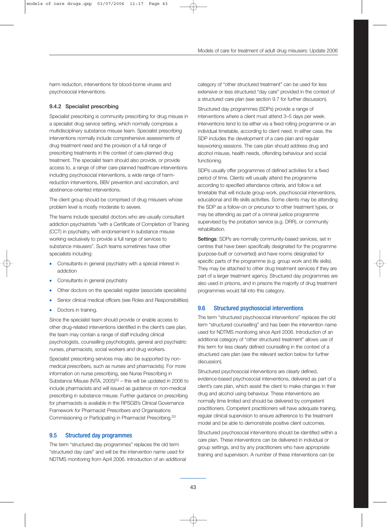harm reduction, interventions for blood-borne viruses and psychosocial interventions.

## 9.4.2 Specialist prescribing

Specialist prescribing is community prescribing for drug misuse in a specialist drug service setting, which normally comprises a multidisciplinary substance misuse team. Specialist prescribing interventions normally include comprehensive assessments of drug treatment need and the provision of a full range of prescribing treatments in the context of care-planned drug treatment. The specialist team should also provide, or provide access to, a range of other care-planned healthcare interventions including psychosocial interventions, a wide range of harmreduction interventions, BBV prevention and vaccination, and abstinence-oriented interventions.

The client group should be comprised of drug misusers whose problem level is mostly moderate to severe.

The teams include specialist doctors who are usually consultant addiction psychiatrists "with a Certificate of Completion of Training (CCT) in psychiatry, with endorsement in substance misuse working exclusively to provide a full range of services to substance misusers". Such teams sometimes have other specialists including:

- Consultants in general psychiatry with a special interest in addiction
- Consultants in general psychiatry
- Other doctors on the specialist register (associate specialists)
- Senior clinical medical officers (see Roles and Responsibilities)
- Doctors in training.

Since the specialist team should provide or enable access to other drug-related interventions identified in the client's care plan, the team may contain a range of staff including clinical psychologists, counselling psychologists, general and psychiatric nurses, pharmacists, social workers and drug workers.

Specialist prescribing services may also be supported by nonmedical prescribers, such as nurses and pharmacists). For more information on nurse prescribing, see Nurse Prescribing in Substance Misuse (NTA, 2005)<sup>52</sup> – this will be updated in 2006 to include pharmacists and will issued as guidance on non-medical prescribing in substance misuse. Further guidance on prescribing for pharmacists is available in the RPSGB's Clinical Governance Framework for Pharmacist Prescribers and Organisations Commissioning or Participating in Pharmacist Prescribing.53

## 9.5 Structured day programmes

The term "structured day programmes" replaces the old term "structured day care" and will be the intervention name used for NDTMS monitoring from April 2006. Introduction of an additional category of "other structured treatment" can be used for less extensive or less structured "day care" provided in the context of a structured care plan (see section 9.7 for further discussion).

Structured day programmes (SDPs) provide a range of interventions where a client must attend 3–5 days per week. Interventions tend to be either via a fixed rolling programme or an individual timetable, according to client need. In either case, the SDP includes the development of a care plan and regular keyworking sessions. The care plan should address drug and alcohol misuse, health needs, offending behaviour and social functioning.

SDPs usually offer programmes of defined activities for a fixed period of time. Clients will usually attend the programme according to specified attendance criteria, and follow a set timetable that will include group work, psychosocial interventions, educational and life skills activities. Some clients may be attending the SDP as a follow-on or precursor to other treatment types, or may be attending as part of a criminal justice programme supervised by the probation service (e.g. DRR), or community rehabilitation.

Settings: SDPs are normally community-based services, set in centres that have been specifically designated for the programme (purpose-built or converted) and have rooms designated for specific parts of the programme (e.g. group work and life skills). They may be attached to other drug treatment services if they are part of a larger treatment agency. Structured day programmes are also used in prisons, and in prisons the majority of drug treatment programmes would fall into this category.

## 9.6 Structured psychosocial interventions

The term "structured psychosocial interventions" replaces the old term "structured counselling" and has been the intervention name used for NDTMS monitoring since April 2006. Introduction of an additional category of "other structured treatment" allows use of this term for less clearly defined counselling in the context of a structured care plan (see the relevant section below for further discussion).

Structured psychosocial interventions are clearly defined, evidence-based psychosocial interventions, delivered as part of a client's care plan, which assist the client to make changes in their drug and alcohol using behaviour. These interventions are normally time limited and should be delivered by competent practitioners. Competent practitioners will have adequate training, regular clinical supervision to ensure adherence to the treatment model and be able to demonstrate positive client outcomes.

Structured psychosocial interventions should be identified within a care plan. These interventions can be delivered in individual or group settings, and by any practitioners who have appropriate training and supervision. A number of these interventions can be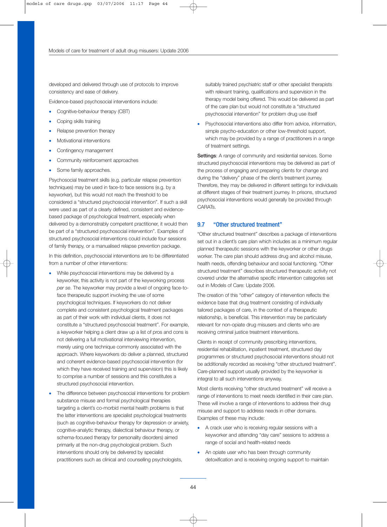developed and delivered through use of protocols to improve consistency and ease of delivery.

Evidence-based psychosocial interventions include:

- Cognitive-behaviour therapy (CBT)
- Coping skills training
- Relapse prevention therapy
- Motivational interventions
- Contingency management
- Community reinforcement approaches
- Some family approaches.

Psychosocial treatment skills (e.g. particular relapse prevention techniques) may be used in face-to face sessions (e.g. by a keyworker), but this would not reach the threshold to be considered a "structured psychosocial intervention". If such a skill were used as part of a clearly defined, consistent and evidencebased package of psychological treatment, especially when delivered by a demonstrably competent practitioner, it would then be part of a "structured psychosocial intervention". Examples of structured psychosocial interventions could include four sessions of family therapy, or a manualised relapse prevention package.

In this definition, psychosocial interventions are to be differentiated from a number of other interventions:

- While psychosocial interventions may be delivered by a keyworker, this activity is not part of the keyworking process *per se*. The keyworker may provide a level of ongoing face-toface therapeutic support involving the use of some psychological techniques. If keyworkers do not deliver complete and consistent psychological treatment packages as part of their work with individual clients, it does not constitute a "structured psychosocial treatment". For example, a keyworker helping a client draw up a list of pros and cons is not delivering a full motivational interviewing intervention, merely using one technique commonly associated with the approach. Where keyworkers do deliver a planned, structured and coherent evidence-based psychosocial intervention (for which they have received training and supervision) this is likely to comprise a number of sessions and this constitutes a structured psychosocial intervention.
- The difference between psychosocial interventions for problem substance misuse and formal psychological therapies targeting a client's co-morbid mental health problems is that the latter interventions are specialist psychological treatments (such as cognitive-behaviour therapy for depression or anxiety, cognitive-analytic therapy, dialectical behaviour therapy, or schema-focused therapy for personality disorders) aimed primarily at the non-drug psychological problem. Such interventions should only be delivered by specialist practitioners such as clinical and counselling psychologists,

suitably trained psychiatric staff or other specialist therapists with relevant training, qualifications and supervision in the therapy model being offered. This would be delivered as part of the care plan but would not constitute a "structured psychosocial intervention" for problem drug use itself

• Psychosocial interventions also differ from advice, information, simple psycho-education or other low-threshold support, which may be provided by a range of practitioners in a range of treatment settings.

Settings: A range of community and residential services. Some structured psychosocial interventions may be delivered as part of the process of engaging and preparing clients for change and during the "delivery" phase of the client's treatment journey. Therefore, they may be delivered in different settings for individuals at different stages of their treatment journey. In prisons, structured psychosocial interventions would generally be provided through CARATs.

#### 9.7 "Other structured treatment"

"Other structured treatment" describes a package of interventions set out in a client's care plan which includes as a minimum regular planned therapeutic sessions with the keyworker or other drugs worker. The care plan should address drug and alcohol misuse, health needs, offending behaviour and social functioning. "Other structured treatment" describes structured therapeutic activity not covered under the alternative specific intervention categories set out in Models of Care: Update 2006.

The creation of this "other" category of intervention reflects the evidence base that drug treatment consisting of individually tailored packages of care, in the context of a therapeutic relationship, is beneficial. This intervention may be particularly relevant for non-opiate drug misusers and clients who are receiving criminal justice treatment interventions.

Clients in receipt of community prescribing interventions, residential rehabilitation, inpatient treatment, structured day programmes or structured psychosocial interventions should not be additionally recorded as receiving "other structured treatment". Care-planned support usually provided by the keyworker is integral to all such interventions anyway.

Most clients receiving "other structured treatment" will receive a range of interventions to meet needs identified in their care plan. These will involve a range of interventions to address their drug misuse and support to address needs in other domains. Examples of these may include:

- A crack user who is receiving regular sessions with a keyworker and attending "day care" sessions to address a range of social and health-related needs
- An opiate user who has been through community detoxification and is receiving ongoing support to maintain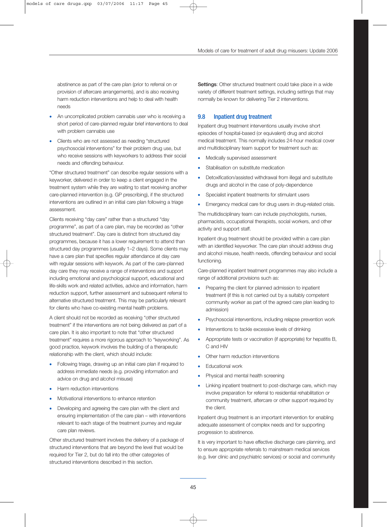abstinence as part of the care plan (prior to referral on or provision of aftercare arrangements), and is also receiving harm reduction interventions and help to deal with health needs

- An uncomplicated problem cannabis user who is receiving a short period of care-planned regular brief interventions to deal with problem cannabis use
- Clients who are not assessed as needing "structured psychosocial interventions" for their problem drug use, but who receive sessions with keyworkers to address their social needs and offending behaviour.

"Other structured treatment" can describe regular sessions with a keyworker, delivered in order to keep a client engaged in the treatment system while they are waiting to start receiving another care-planned intervention (e.g. GP prescribing), if the structured interventions are outlined in an initial care plan following a triage assessment.

Clients receiving "day care" rather than a structured "day programme", as part of a care plan, may be recorded as "other structured treatment". Day care is distinct from structured day programmes, because it has a lower requirement to attend than structured day programmes (usually 1–2 days). Some clients may have a care plan that specifies regular attendance at day care with regular sessions with keywork. As part of the care-planned day care they may receive a range of interventions and support including emotional and psychological support, educational and life-skills work and related activities, advice and information, harm reduction support, further assessment and subsequent referral to alternative structured treatment. This may be particularly relevant for clients who have co-existing mental health problems.

A client should not be recorded as receiving "other structured treatment" if the interventions are not being delivered as part of a care plan. It is also important to note that "other structured treatment" requires a more rigorous approach to "keyworking". As good practice, keywork involves the building of a therapeutic relationship with the client, which should include:

- Following triage, drawing up an initial care plan if required to address immediate needs (e.g. providing information and advice on drug and alcohol misuse)
- Harm reduction interventions
- Motivational interventions to enhance retention
- Developing and agreeing the care plan with the client and ensuring implementation of the care plan – with interventions relevant to each stage of the treatment journey and regular care plan reviews.

Other structured treatment involves the delivery of a package of structured interventions that are beyond the level that would be required for Tier 2, but do fall into the other categories of structured interventions described in this section.

Settings: Other structured treatment could take place in a wide variety of different treatment settings, including settings that may normally be known for delivering Tier 2 interventions.

## 9.8 Inpatient drug treatment

Inpatient drug treatment interventions usually involve short episodes of hospital-based (or equivalent) drug and alcohol medical treatment. This normally includes 24-hour medical cover and multidisciplinary team support for treatment such as:

- Medically supervised assessment
- Stabilisation on substitute medication
- Detoxification/assisted withdrawal from illegal and substitute drugs and alcohol in the case of poly-dependence
- Specialist inpatient treatments for stimulant users
- Emergency medical care for drug users in drug-related crisis.

The multidisciplinary team can include psychologists, nurses, pharmacists, occupational therapists, social workers, and other activity and support staff.

Inpatient drug treatment should be provided within a care plan with an identified keyworker. The care plan should address drug and alcohol misuse, health needs, offending behaviour and social functioning.

Care-planned inpatient treatment programmes may also include a range of additional provisions such as:

- Preparing the client for planned admission to inpatient treatment (if this is not carried out by a suitably competent community worker as part of the agreed care plan leading to admission)
- Psychosocial interventions, including relapse prevention work
- Interventions to tackle excessive levels of drinking
- Appropriate tests or vaccination (if appropriate) for hepatitis B, C and HIV
- Other harm reduction interventions
- Educational work
- Physical and mental health screening
- Linking inpatient treatment to post-discharge care, which may involve preparation for referral to residential rehabilitation or community treatment, aftercare or other support required by the client.

Inpatient drug treatment is an important intervention for enabling adequate assessment of complex needs and for supporting progression to abstinence.

It is very important to have effective discharge care planning, and to ensure appropriate referrals to mainstream medical services (e.g. liver clinic and psychiatric services) or social and community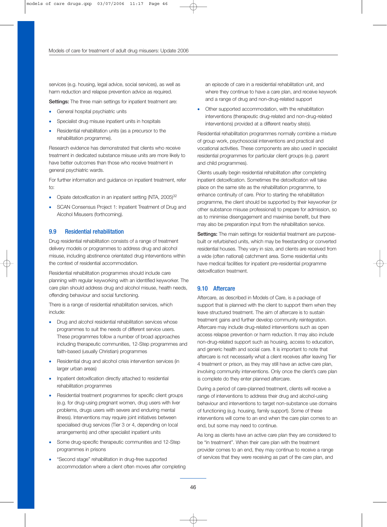services (e.g. housing, legal advice, social services), as well as harm reduction and relapse prevention advice as required.

Settings: The three main settings for inpatient treatment are:

- General hospital psychiatric units
- Specialist drug misuse inpatient units in hospitals
- Residential rehabilitation units (as a precursor to the rehabilitation programme).

Research evidence has demonstrated that clients who receive treatment in dedicated substance misuse units are more likely to have better outcomes than those who receive treatment in general psychiatric wards.

For further information and guidance on inpatient treatment, refer to:

- Opiate detoxification in an inpatient setting (NTA, 2005)<sup>32</sup>
- SCAN Consensus Project 1: Inpatient Treatment of Drug and Alcohol Misusers (forthcoming).

#### 9.9 Residential rehabilitation

Drug residential rehabilitation consists of a range of treatment delivery models or programmes to address drug and alcohol misuse, including abstinence orientated drug interventions within the context of residential accommodation.

Residential rehabilitation programmes should include care planning with regular keyworking with an identified keyworker. The care plan should address drug and alcohol misuse, health needs, offending behaviour and social functioning.

There is a range of residential rehabilitation services, which include:

- Drug and alcohol residential rehabilitation services whose programmes to suit the needs of different service users. These programmes follow a number of broad approaches including therapeutic communities, 12-Step programmes and faith-based (usually Christian) programmes
- Residential drug and alcohol crisis intervention services (in larger urban areas)
- Inpatient detoxification directly attached to residential rehabilitation programmes
- Residential treatment programmes for specific client groups (e.g. for drug-using pregnant women, drug users with liver problems, drugs users with severe and enduring mental illness). Interventions may require joint initiatives between specialised drug services (Tier 3 or 4, depending on local arrangements) and other specialist inpatient units
- Some drug-specific therapeutic communities and 12-Step programmes in prisons
- "Second stage" rehabilitation in drug-free supported accommodation where a client often moves after completing

an episode of care in a residential rehabilitation unit, and where they continue to have a care plan, and receive keywork and a range of drug and non-drug-related support

• Other supported accommodation, with the rehabilitation interventions (therapeutic drug-related and non-drug-related interventions) provided at a different nearby site(s).

Residential rehabilitation programmes normally combine a mixture of group work, psychosocial interventions and practical and vocational activities. These components are also used in specialist residential programmes for particular client groups (e.g. parent and child programmes).

Clients usually begin residential rehabilitation after completing inpatient detoxification. Sometimes the detoxification will take place on the same site as the rehabilitation programme, to enhance continuity of care. Prior to starting the rehabilitation programme, the client should be supported by their keyworker (or other substance misuse professional) to prepare for admission, so as to minimise disengagement and maximise benefit, but there may also be preparation input from the rehabilitation service.

Settings: The main settings for residential treatment are purposebuilt or refurbished units, which may be freestanding or converted residential houses. They vary in size, and clients are received from a wide (often national) catchment area. Some residential units have medical facilities for inpatient pre-residential programme detoxification treatment.

## 9.10 Aftercare

Aftercare, as described in Models of Care, is a package of support that is planned with the client to support them when they leave structured treatment. The aim of aftercare is to sustain treatment gains and further develop community reintegration. Aftercare may include drug-related interventions such as open access relapse prevention or harm reduction. It may also include non-drug-related support such as housing, access to education, and generic health and social care. It is important to note that aftercare is not necessarily what a client receives after leaving Tier 4 treatment or prison, as they may still have an active care plan, involving community interventions. Only once the client's care plan is complete do they enter planned aftercare.

During a period of care-planned treatment, clients will receive a range of interventions to address their drug and alcohol-using behaviour and interventions to target non-substance use domains of functioning (e.g. housing, family support). Some of these interventions will come to an end when the care plan comes to an end, but some may need to continue.

As long as clients have an active care plan they are considered to be "in treatment". When their care plan with the treatment provider comes to an end, they may continue to receive a range of services that they were receiving as part of the care plan, and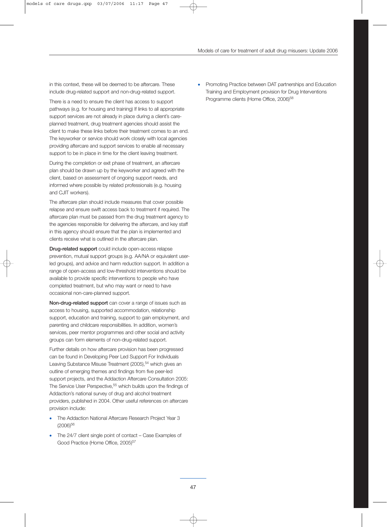in this context, these will be deemed to be aftercare. These include drug-related support and non-drug-related support.

There is a need to ensure the client has access to support pathways (e.g. for housing and training) If links to all appropriate support services are not already in place during a client's careplanned treatment, drug treatment agencies should assist the client to make these links before their treatment comes to an end. The keyworker or service should work closely with local agencies providing aftercare and support services to enable all necessary support to be in place in time for the client leaving treatment.

During the completion or exit phase of treatment, an aftercare plan should be drawn up by the keyworker and agreed with the client, based on assessment of ongoing support needs, and informed where possible by related professionals (e.g. housing and CJIT workers).

The aftercare plan should include measures that cover possible relapse and ensure swift access back to treatment if required. The aftercare plan must be passed from the drug treatment agency to the agencies responsible for delivering the aftercare, and key staff in this agency should ensure that the plan is implemented and clients receive what is outlined in the aftercare plan.

Drug-related support could include open-access relapse prevention, mutual support groups (e.g. AA/NA or equivalent userled groups), and advice and harm reduction support. In addition a range of open-access and low-threshold interventions should be available to provide specific interventions to people who have completed treatment, but who may want or need to have occasional non-care-planned support.

Non-drug-related support can cover a range of issues such as access to housing, supported accommodation, relationship support, education and training, support to gain employment, and parenting and childcare responsibilities. In addition, women's services, peer mentor programmes and other social and activity groups can form elements of non-drug-related support.

Further details on how aftercare provision has been progressed can be found in Developing Peer Led Support For Individuals Leaving Substance Misuse Treatment (2005),<sup>54</sup> which gives an outline of emerging themes and findings from five peer-led support projects, and the Addaction Aftercare Consultation 2005: The Service User Perspective,<sup>55</sup> which builds upon the findings of Addaction's national survey of drug and alcohol treatment providers, published in 2004. Other useful references on aftercare provision include:

- The Addaction National Aftercare Research Project Year 3 (2006)<sup>56</sup>
- The 24/7 client single point of contact Case Examples of Good Practice (Home Office, 2005)<sup>57</sup>

• Promoting Practice between DAT partnerships and Education Training and Employment provision for Drug Interventions Programme clients (Home Office, 2006)<sup>58</sup>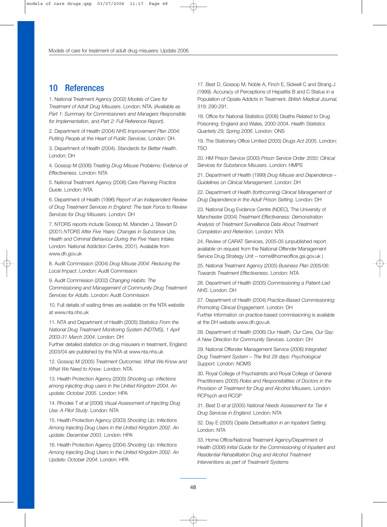## 10 References

1. National Treatment Agency (2002) *Models of Care for Treatment of Adult Drug Misusers*. London: NTA. (Available as *Part 1: Summary for Commissioners and Managers Responsible for Implementation*, and *Part 2: Full Reference Report)*.

2. Department of Health (2004) *NHS Improvement Plan 2004: Putting People at the Heart of Public Services*. London: DH.

3. Department of Health (2004). *Standards for Better Health*. London: DH

4. Gossop M (2006) *Treating Drug Misuse Problems: Evidence of Effectiveness*. London: NTA

5. National Treatment Agency (2006) *Care Planning Practice Guide*. London: NTA

6. Department of Health (1996) *Report of an Independent Review of Drug Treatment Services in England: The task Force to Review Services for Drug Misusers*. London: DH

7. NTORS reports include Gossop M, Marsden J, Stewart D (2001) *NTORS After Five Years: Changes in Substance Use, Health and Criminal Behaviour During the Five Years Intake.* London: National Addiction Centre, 2001). Available from www.dh.gov.uk

8. Audit Commission (2004) *Drug Misuse 2004: Reducing the Local Impact*. London: Audit Commission

9. Audit Commission (2002) *Changing Habits: The Commissioning and Management of Community Drug Treatment Services for Adults*. London: Audit Commission

10. Full details of waiting times are available on the NTA website at www.nta.nhs.uk

11. NTA and Department of Health (2005) *Statistics From the National Drug Treatment Monitoring System (NDTMS), 1 April 2003-31 March 2004*. London: DH

Further detailed statistics on drug misusers in treatment, England 2003/04 are published by the NTA at www.nta.nhs.uk

12. Gossop M (2005) *Treatment Outcomes: What We Know and What We Need to Know*. London: NTA.

13. Health Protection Agency (2005) *Shooting up: infections among injecting drug users in the United Kingdom 2004*. *An update: October 2005*. London: HPA

14. Rhodes T *et al* (2006) *Visual Assessment of Injecting Drug Use: A Pilot Study*. London: NTA

15. Health Protection Agency (2003) *Shooting Up: Infections Among Injecting Drug Users in the United Kingdom 2002*. *An update: December 2003*. London: HPA

16. Health Protection Agency (2004) *Shooting Up: Infections Among Injecting Drug Users in the United Kingdom 2002*. *An Update: October 2004*. London: HPA

17. Best D, Gossop M, Noble A, Finch E, Sidwell C and Strang J (1999). Accuracy of Perceptions of Hepatitis B and C Status in a Population of Opiate Addicts in Treatment. *British Medical Journal,* 319: 290-291.

18. Office for National Statistics (2006) Deaths Related to Drug Poisoning: England and Wales, 2000-2004. *Health Statistics Quarterly 29, Spring 2006*. London: ONS

19. The Stationery Office Limited (2005) *Drugs Act 2005*. London: TSO

20. HM Prison Service (2000) *Prison Service Order 3550: Clinical Services for Substance Misusers*. London: HMPS

21. Department of Health (1999) *Drug Misuse and Dependence – Guidelines on Clinical Management*. London: DH

22. Department of Health (forthcoming) *Clinical Management of Drug Dependence in the Adult Prison Setting*. London: DH

23. National Drug Evidence Centre (NDEC), The University of Manchester (2004) *Treatment Effectiveness: Demonstration Analysis of Treatment Surveillance Data About Treatment Completion and Retention*. London: NTA

24. Review of CARAT Services, 2005-05 (unpublished report available on request from the National Offender Management Service Drug Strategy Unit – noms@homeoffice.gsi.gov.uk )

25. National Treatment Agency (2005) *Business Plan 2005/06: Towards Treatment Effectiveness*. London: NTA

26. Department of Health (2005) *Commissioning a Patient-Led NHS*. London: DH

27. Department of Health (2004) *Practice*-*Based Commissioning: Promoting Clinical Engagement*. London: DH Further information on practice-based commissioning is available at the DH website www.dh.gov.uk

28. Department of Health (2006) *Our Health, Our Care, Our Say: A New Direction for Community Services*. London: DH

29. National Offender Management Service (2006) *Integrated Drug Treatment System – The first 28 days: Psychological Support*. London: NOMS

30. Royal College of Psychiatrists and Royal College of General Practitioners (2005) *Roles and Responsibilities of Doctors in the Provision of Treatment for Drug and Alcohol Misusers*. London: RCPsych and RCGP

31. Best D *et al* (2005) *National Needs Assessment for Tier 4 Drug Services in England*. London: NTA

32. Day E (2005) *Opiate Detoxification in an Inpatient Setting*. London: NTA

33. Home Office/National Treatment Agency/Department of Health (2006) *Initial Guide for the Commissioning of Inpatient and Residential Rehabilitation Drug and Alcohol Treatment Interventions as part of Treatment Systems*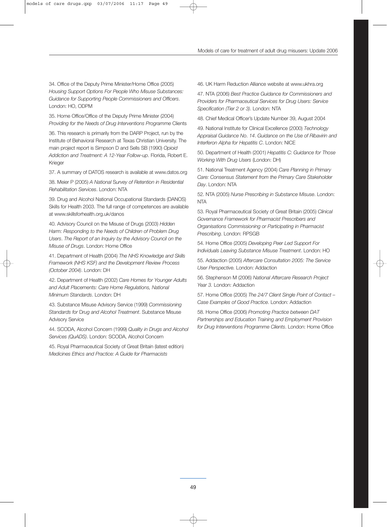34. Office of the Deputy Prime Minister/Home Office (2005) *Housing Support Options For People Who Misuse Substances: Guidance for Supporting People Commissioners and Officers*. London: HO, ODPM

35. Home Office/Office of the Deputy Prime Minister (2004) *Providing for the Needs of Drug Interventions Programme* Clients

36. This research is primarily from the DARP Project, run by the Institute of Behavioral Research at Texas Christian University. The main project report is Simpson D and Sells SB (1990) *Opioid Addiction and Treatment: A 12-Year Follow-up*. Florida, Robert E. Krieger

37. A summary of DATOS research is available at www.datos.org

38. Meier P (2005) *A National* S*urvey of Retention in Residential Rehabilitation Services*. London: NTA

39. Drug and Alcohol National Occupational Standards (DANOS) Skills for Health 2003. The full range of competences are available at www.skillsforhealth.org.uk/danos

40. Advisory Council on the Misuse of Drugs (2003) *Hidden Harm: Responding to the Needs of Children of Problem Drug Users*. *The Report of an Inquiry by the Advisory Council on the Misuse of Drugs*. London: Home Office

41. Department of Health (2004) *The NHS Knowledge and Skills Framework (NHS KSF) and the Development Review Process (October 2004)*. London: DH

42. Department of Health (2002) *Care Homes for Younger Adults and Adult Placements: Care Home Regulations, National Minimum Standards*. London: DH

43. Substance Misuse Advisory Service (1999) *Commissioning Standards for* D*rug and Alcohol Treatment*. Substance Misuse Advisory Service

44. SCODA, Alcohol Concern (1999) *Quality in Drugs and Alcohol Services (QuADS)*. London: SCODA, Alcohol Concern

45. Royal Pharmaceutical Society of Great Britain (latest edition) *Medicines Ethics and Practice: A Guide for Pharmacists*

46. UK Harm Reduction Alliance website at www.ukhra.org

47. NTA (2006) *Best Practice Guidance for Commissioners and Providers for Pharmaceutical Services for Drug Users: Service Specification (Tier 2 or 3)*. London: NTA

48. Chief Medical Officer's Update Number 39, August 2004

49. National Institute for Clinical Excellence (2000) *Technology Appraisal Guidance No*. *14*. *Guidance on the Use of Ribavirin and Interferon Alpha for Hepatitis C*. London: NICE

50. Department of Health (2001) *Hepatitis C: Guidance for Those Working With Drug Users* (London: DH)

51. National Treatment Agency (2004) *Care Planning in Primary Care: Consensus Statement from the Primary Care Stakeholder Day*. London: NTA

52. NTA (2005) *Nurse Prescribing in Substance Misuse*. London: NTA

53. Royal Pharmaceutical Society of Great Britain (2005) *Clinical Governance Framework for Pharmacist Prescribers and Organisations Commissioning or Participating in Pharmacist Prescribing*. London: RPSGB

54. Home Office (2005) *Developing Peer Led Support For Individuals Leaving Substance Misuse Treatment*. London: HO

55. Addaction (2005) *Aftercare Consultation 2005: The Service User Perspective.* London: Addaction

56. Stephenson M (2006) *National Aftercare Research Project Year 3.* London: Addaction

57. Home Office (2005) *The 24/7 Client Single Point of Contact – Case Examples of Good Practice*. London: Addaction

58. Home Office (2006) *Promoting Practice between DAT Partnerships and Education Training and Employment Provision for Drug Interventions Programme Clients*. London: Home Office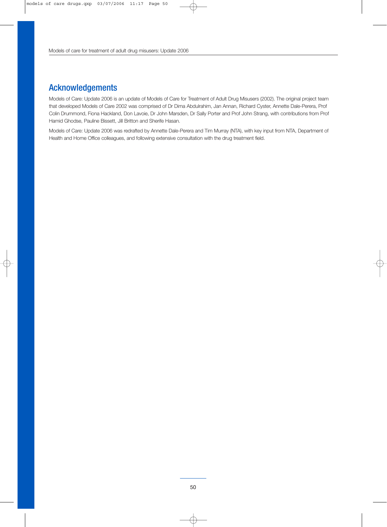## Acknowledgements

Models of Care: Update 2006 is an update of Models of Care for Treatment of Adult Drug Misusers (2002). The original project team that developed Models of Care 2002 was comprised of Dr Dima Abdulrahim, Jan Annan, Richard Cyster, Annette Dale-Perera, Prof Colin Drummond, Fiona Hackland, Don Lavoie, Dr John Marsden, Dr Sally Porter and Prof John Strang, with contributions from Prof Hamid Ghodse, Pauline Bissett, Jill Britton and Sherife Hasan.

Models of Care: Update 2006 was redrafted by Annette Dale-Perera and Tim Murray (NTA), with key input from NTA, Department of Health and Home Office colleagues, and following extensive consultation with the drug treatment field.